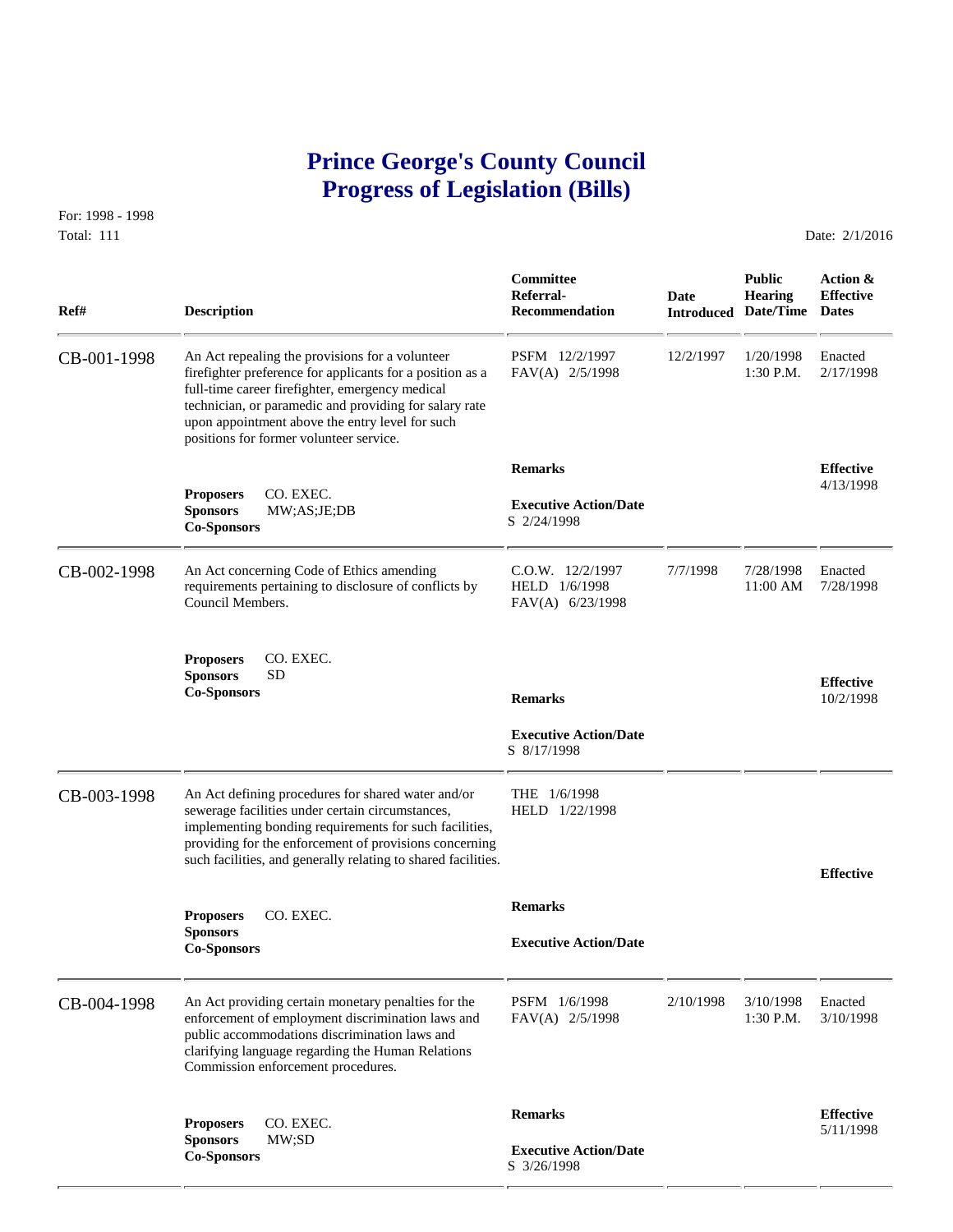# **Prince George's County Council Progress of Legislation (Bills)**

For: 1998 - 1998 Total: 111 Date: 2/1/2016

 **Committee Public Action & Referral- Date Hearing Effective Ref# Description Recommendation Introduced Date/Time Dates** CB-001-1998 An Act repealing the provisions for a volunteer PSFM 12/2/1997 12/2/1997 1/20/1998 Enacted firefighter preference for applicants for a position as a FAV(A) 2/5/1998 1:30 P.M. 2/17/1998 firefighter preference for applicants for a position as a full-time career firefighter, emergency medical technician, or paramedic and providing for salary rate upon appointment above the entry level for such positions for former volunteer service.  **Remarks Effective Proposers** CO. EXEC. **A** 2/13/1998  **Executive Action/Date Sponsors** MW;AS;JE;DB S 2/24/1998 **Co-Sponsors**  CB-002-1998 An Act concerning Code of Ethics amending C.O.W. 12/2/1997 7/7/1998 7/28/1998 Enacted requirements pertaining to disclosure of conflicts by HELD 1/6/1998 11:00 AM 7/28/1998 requirements pertaining to disclosure of conflicts by Council Members. FAV(A) 6/23/1998 **Proposers** CO. EXEC. **Sponsors** SD **Effective Co-Sponsors Remarks** 10/2/1998  **Executive Action/Date** S 8/17/1998 CB-003-1998 An Act defining procedures for shared water and/or THE 1/6/1998<br>sewerage facilities under certain circumstances, HELD 1/22/1998 sewerage facilities under certain circumstances, implementing bonding requirements for such facilities, providing for the enforcement of provisions concerning such facilities, and generally relating to shared facilities. **Effective Remarks Proposers** CO. EXEC. **Sponsors Executive Action/Date Co-Sponsors**  CB-004-1998 An Act providing certain monetary penalties for the PSFM 1/6/1998 2/10/1998 3/10/1998 Enacted enforcement of employment discrimination laws and FAV(A) 2/5/1998 1:30 P.M. 3/10/1998 enforcement of employment discrimination laws and public accommodations discrimination laws and clarifying language regarding the Human Relations Commission enforcement procedures. **Remarks Effective Effective**<br> **Sponsors MW;SD Executive Action/Date Co-Sponsors Co-Sponsors Co-Sponsors Co-Sponsors Co-Sponsors Co-Sponsors Co-Sponsors Co-Sponsors Co-Sponsors Co-Sponsors Co-**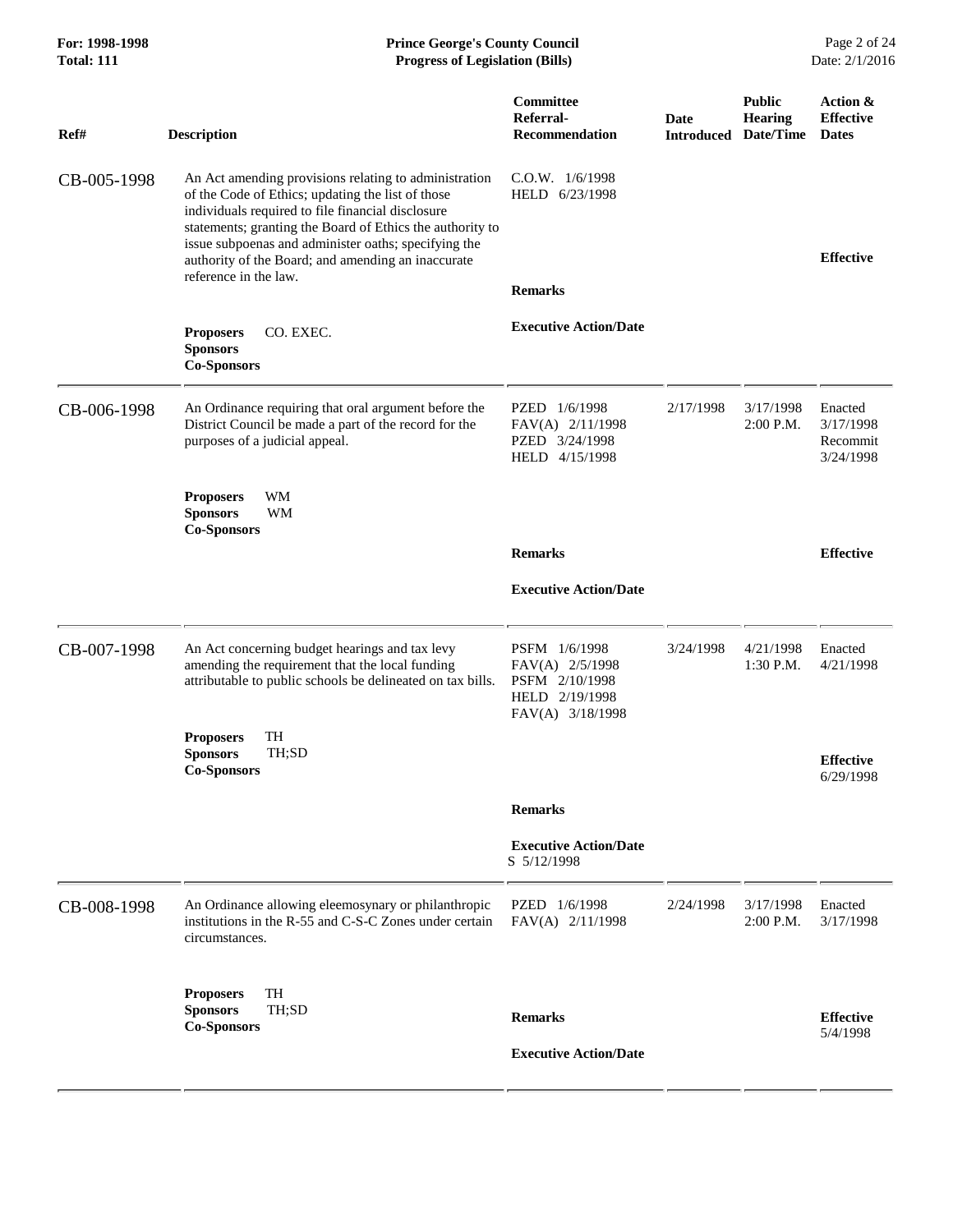| For: 1998-1998<br><b>Total: 111</b> | <b>Prince George's County Council</b><br><b>Progress of Legislation (Bills)</b>                                                                                                                                                                                                                                                                                     |                                                                                          |           |                                                               | Page 2 of 24<br>Date: 2/1/2016                |
|-------------------------------------|---------------------------------------------------------------------------------------------------------------------------------------------------------------------------------------------------------------------------------------------------------------------------------------------------------------------------------------------------------------------|------------------------------------------------------------------------------------------|-----------|---------------------------------------------------------------|-----------------------------------------------|
| Ref#                                | <b>Description</b>                                                                                                                                                                                                                                                                                                                                                  | Committee<br>Referral-<br><b>Recommendation</b>                                          | Date      | <b>Public</b><br>Hearing<br><b>Introduced Date/Time Dates</b> | Action &<br><b>Effective</b>                  |
| CB-005-1998                         | An Act amending provisions relating to administration<br>of the Code of Ethics; updating the list of those<br>individuals required to file financial disclosure<br>statements; granting the Board of Ethics the authority to<br>issue subpoenas and administer oaths; specifying the<br>authority of the Board; and amending an inaccurate<br>reference in the law. | $C.O.W.$ $1/6/1998$<br>HELD 6/23/1998                                                    |           |                                                               | <b>Effective</b>                              |
|                                     |                                                                                                                                                                                                                                                                                                                                                                     | <b>Remarks</b>                                                                           |           |                                                               |                                               |
|                                     | <b>Proposers</b><br>CO. EXEC.<br><b>Sponsors</b><br><b>Co-Sponsors</b>                                                                                                                                                                                                                                                                                              | <b>Executive Action/Date</b>                                                             |           |                                                               |                                               |
| CB-006-1998                         | An Ordinance requiring that oral argument before the<br>District Council be made a part of the record for the<br>purposes of a judicial appeal.                                                                                                                                                                                                                     | PZED 1/6/1998<br>FAV(A) 2/11/1998<br>PZED 3/24/1998<br>HELD 4/15/1998                    | 2/17/1998 | 3/17/1998<br>2:00 P.M.                                        | Enacted<br>3/17/1998<br>Recommit<br>3/24/1998 |
|                                     | WM<br><b>Proposers</b><br>WM<br><b>Sponsors</b><br><b>Co-Sponsors</b>                                                                                                                                                                                                                                                                                               |                                                                                          |           |                                                               |                                               |
|                                     |                                                                                                                                                                                                                                                                                                                                                                     | <b>Remarks</b>                                                                           |           |                                                               | <b>Effective</b>                              |
|                                     |                                                                                                                                                                                                                                                                                                                                                                     | <b>Executive Action/Date</b>                                                             |           |                                                               |                                               |
| CB-007-1998                         | An Act concerning budget hearings and tax levy<br>amending the requirement that the local funding<br>attributable to public schools be delineated on tax bills.                                                                                                                                                                                                     | PSFM 1/6/1998<br>FAV(A) 2/5/1998<br>PSFM 2/10/1998<br>HELD 2/19/1998<br>FAV(A) 3/18/1998 | 3/24/1998 | 4/21/1998<br>1:30 P.M.                                        | Enacted<br>4/21/1998                          |
|                                     | TH<br><b>Proposers</b><br><b>Sponsors</b><br>TH;SD<br><b>Co-Sponsors</b>                                                                                                                                                                                                                                                                                            |                                                                                          |           |                                                               | <b>Effective</b><br>6/29/1998                 |
|                                     |                                                                                                                                                                                                                                                                                                                                                                     | <b>Remarks</b>                                                                           |           |                                                               |                                               |
|                                     |                                                                                                                                                                                                                                                                                                                                                                     | <b>Executive Action/Date</b><br>S 5/12/1998                                              |           |                                                               |                                               |
| CB-008-1998                         | An Ordinance allowing eleemosynary or philanthropic<br>institutions in the R-55 and C-S-C Zones under certain<br>circumstances.                                                                                                                                                                                                                                     | PZED 1/6/1998<br>FAV(A) 2/11/1998                                                        | 2/24/1998 | 3/17/1998<br>2:00 P.M.                                        | Enacted<br>3/17/1998                          |
|                                     | TH<br><b>Proposers</b><br>TH;SD<br><b>Sponsors</b>                                                                                                                                                                                                                                                                                                                  |                                                                                          |           |                                                               |                                               |
|                                     | <b>Co-Sponsors</b>                                                                                                                                                                                                                                                                                                                                                  | <b>Remarks</b>                                                                           |           |                                                               | <b>Effective</b><br>5/4/1998                  |
|                                     |                                                                                                                                                                                                                                                                                                                                                                     | <b>Executive Action/Date</b>                                                             |           |                                                               |                                               |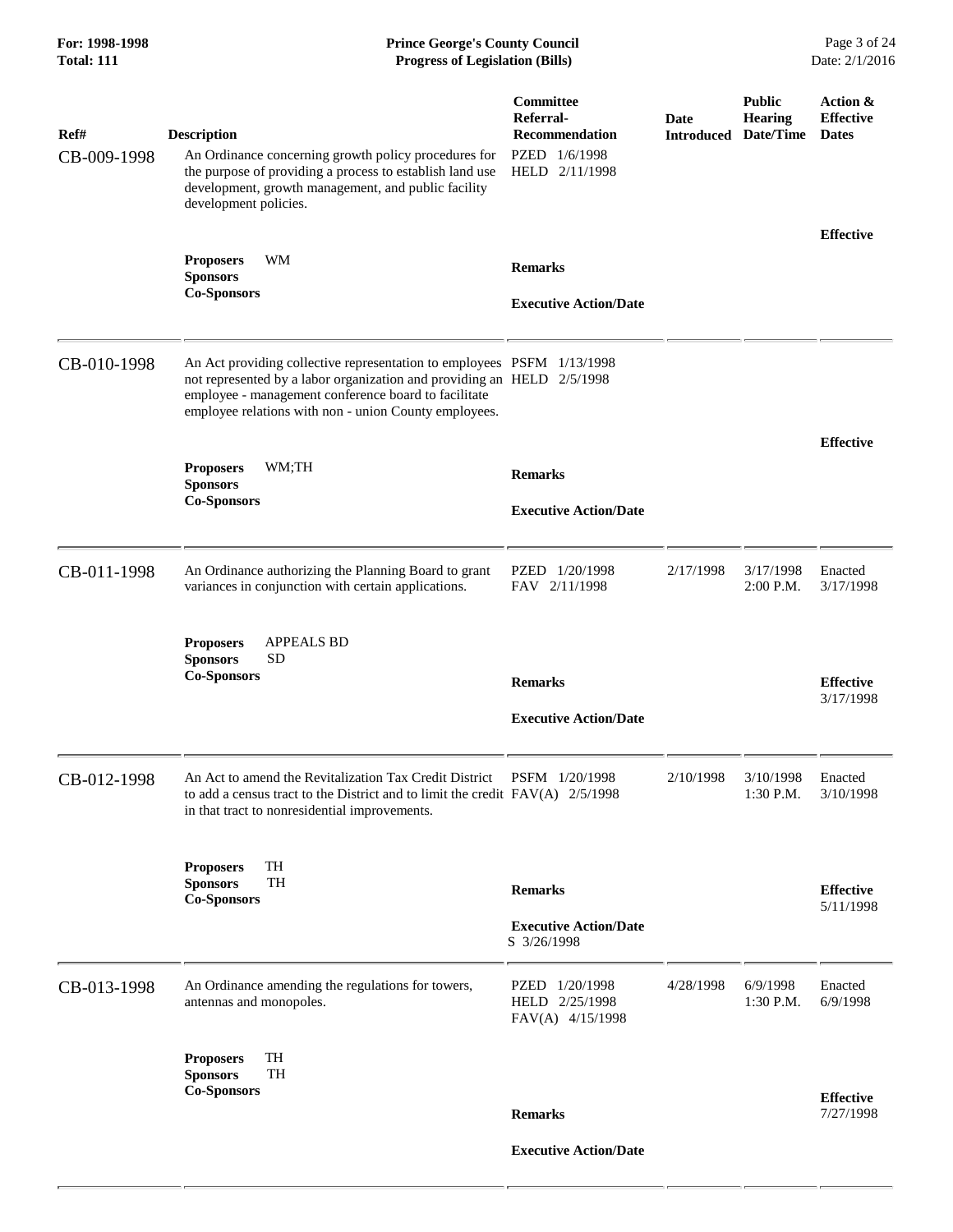| Ref#        | <b>Description</b>                                                                                                                                                                                                                                                | Committee<br>Referral-<br><b>Recommendation</b>      | <b>Date</b><br><b>Introduced Date/Time</b> | <b>Public</b><br><b>Hearing</b> | Action &<br><b>Effective</b><br><b>Dates</b> |
|-------------|-------------------------------------------------------------------------------------------------------------------------------------------------------------------------------------------------------------------------------------------------------------------|------------------------------------------------------|--------------------------------------------|---------------------------------|----------------------------------------------|
| CB-009-1998 | An Ordinance concerning growth policy procedures for<br>the purpose of providing a process to establish land use<br>development, growth management, and public facility<br>development policies.                                                                  | PZED 1/6/1998<br>HELD 2/11/1998                      |                                            |                                 |                                              |
|             | WM<br><b>Proposers</b><br><b>Sponsors</b>                                                                                                                                                                                                                         | <b>Remarks</b>                                       |                                            |                                 | <b>Effective</b>                             |
|             | <b>Co-Sponsors</b>                                                                                                                                                                                                                                                | <b>Executive Action/Date</b>                         |                                            |                                 |                                              |
| CB-010-1998 | An Act providing collective representation to employees PSFM 1/13/1998<br>not represented by a labor organization and providing an HELD 2/5/1998<br>employee - management conference board to facilitate<br>employee relations with non - union County employees. |                                                      |                                            |                                 |                                              |
|             | <b>Proposers</b><br>WM;TH                                                                                                                                                                                                                                         | <b>Remarks</b>                                       |                                            |                                 | <b>Effective</b>                             |
|             | <b>Sponsors</b><br><b>Co-Sponsors</b>                                                                                                                                                                                                                             | <b>Executive Action/Date</b>                         |                                            |                                 |                                              |
| CB-011-1998 | An Ordinance authorizing the Planning Board to grant<br>variances in conjunction with certain applications.                                                                                                                                                       | PZED 1/20/1998<br>FAV 2/11/1998                      | 2/17/1998                                  | 3/17/1998<br>2:00 P.M.          | Enacted<br>3/17/1998                         |
|             | <b>APPEALS BD</b><br><b>Proposers</b><br><b>Sponsors</b><br><b>SD</b><br><b>Co-Sponsors</b>                                                                                                                                                                       | <b>Remarks</b>                                       |                                            |                                 | <b>Effective</b>                             |
|             |                                                                                                                                                                                                                                                                   | <b>Executive Action/Date</b>                         |                                            |                                 | 3/17/1998                                    |
| CB-012-1998 | An Act to amend the Revitalization Tax Credit District<br>to add a census tract to the District and to limit the credit $FAV(A)$ 2/5/1998<br>in that tract to nonresidential improvements.                                                                        | PSFM 1/20/1998                                       | 2/10/1998                                  | 3/10/1998<br>1:30 P.M.          | Enacted<br>3/10/1998                         |
|             | TH<br><b>Proposers</b><br><b>Sponsors</b><br><b>TH</b><br><b>Co-Sponsors</b>                                                                                                                                                                                      | <b>Remarks</b>                                       |                                            |                                 | <b>Effective</b><br>5/11/1998                |
|             |                                                                                                                                                                                                                                                                   | <b>Executive Action/Date</b><br>S 3/26/1998          |                                            |                                 |                                              |
| CB-013-1998 | An Ordinance amending the regulations for towers,<br>antennas and monopoles.                                                                                                                                                                                      | PZED 1/20/1998<br>HELD 2/25/1998<br>FAV(A) 4/15/1998 | 4/28/1998                                  | 6/9/1998<br>1:30 P.M.           | Enacted<br>6/9/1998                          |
|             | TH<br><b>Proposers</b><br>TH<br><b>Sponsors</b>                                                                                                                                                                                                                   |                                                      |                                            |                                 |                                              |
|             | <b>Co-Sponsors</b>                                                                                                                                                                                                                                                | <b>Remarks</b>                                       |                                            |                                 | <b>Effective</b><br>7/27/1998                |
|             |                                                                                                                                                                                                                                                                   | <b>Executive Action/Date</b>                         |                                            |                                 |                                              |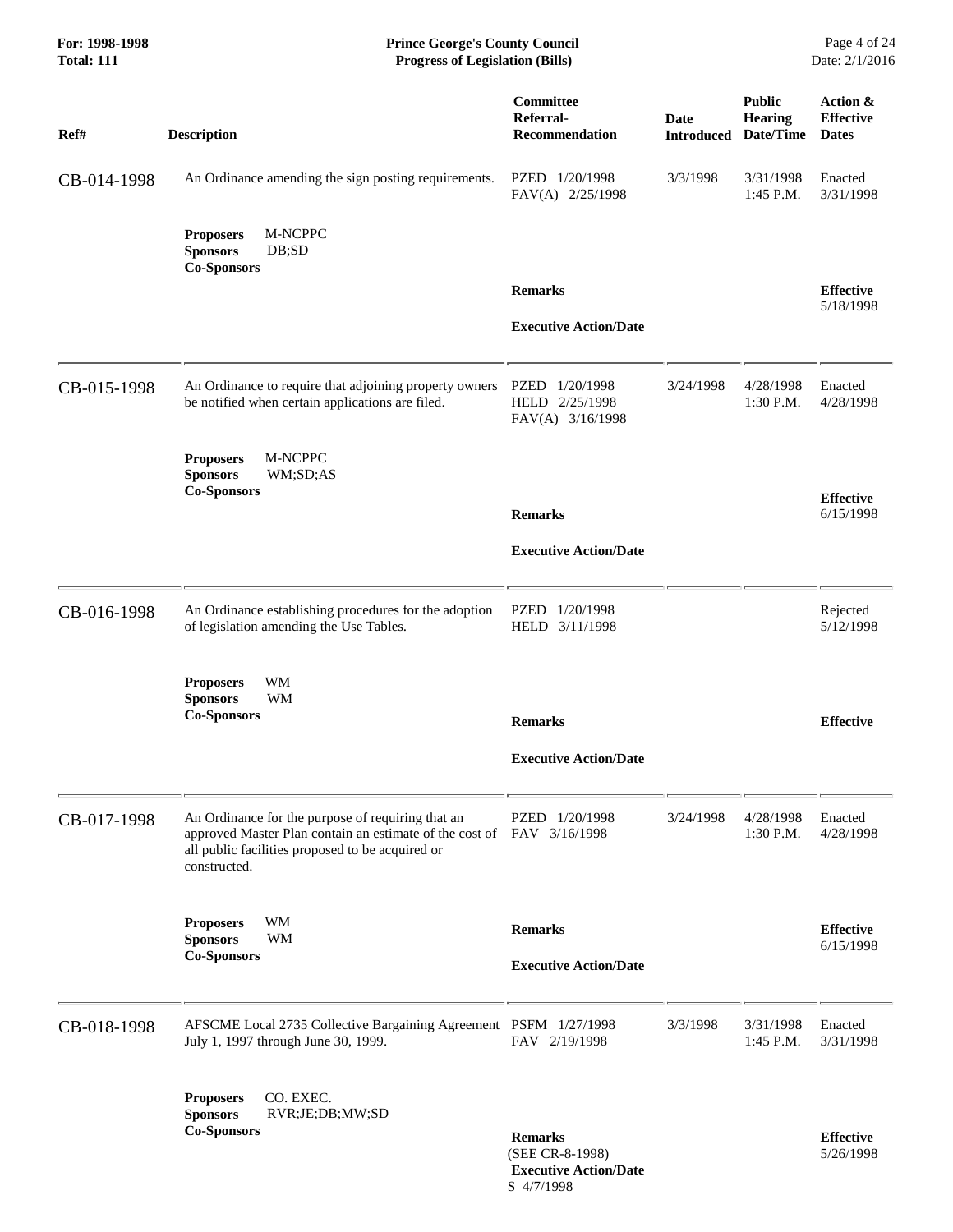| For: 1998-1998<br><b>Total: 111</b> | <b>Prince George's County Council</b><br><b>Progress of Legislation (Bills)</b>                                                                                                                |                                                                   |                           |                                              | Page 4 of 24<br>Date: 2/1/2016               |
|-------------------------------------|------------------------------------------------------------------------------------------------------------------------------------------------------------------------------------------------|-------------------------------------------------------------------|---------------------------|----------------------------------------------|----------------------------------------------|
| Ref#                                | <b>Description</b>                                                                                                                                                                             | Committee<br>Referral-<br><b>Recommendation</b>                   | Date<br><b>Introduced</b> | <b>Public</b><br><b>Hearing</b><br>Date/Time | Action &<br><b>Effective</b><br><b>Dates</b> |
| CB-014-1998                         | An Ordinance amending the sign posting requirements.                                                                                                                                           | PZED 1/20/1998<br>FAV(A) 2/25/1998                                | 3/3/1998                  | 3/31/1998<br>1:45 P.M.                       | Enacted<br>3/31/1998                         |
|                                     | M-NCPPC<br><b>Proposers</b><br><b>Sponsors</b><br>DB;SD<br><b>Co-Sponsors</b>                                                                                                                  |                                                                   |                           |                                              |                                              |
|                                     |                                                                                                                                                                                                | <b>Remarks</b>                                                    |                           |                                              | <b>Effective</b>                             |
|                                     |                                                                                                                                                                                                | <b>Executive Action/Date</b>                                      |                           |                                              | 5/18/1998                                    |
| CB-015-1998                         | An Ordinance to require that adjoining property owners<br>be notified when certain applications are filed.                                                                                     | PZED<br>1/20/1998<br>HELD 2/25/1998<br>FAV(A) 3/16/1998           | 3/24/1998                 | 4/28/1998<br>$1:30$ P.M.                     | Enacted<br>4/28/1998                         |
|                                     | <b>Proposers</b><br>M-NCPPC<br><b>Sponsors</b><br>WM;SD;AS<br><b>Co-Sponsors</b>                                                                                                               |                                                                   |                           |                                              |                                              |
|                                     |                                                                                                                                                                                                | <b>Remarks</b>                                                    |                           |                                              | <b>Effective</b><br>6/15/1998                |
|                                     |                                                                                                                                                                                                | <b>Executive Action/Date</b>                                      |                           |                                              |                                              |
| CB-016-1998                         | An Ordinance establishing procedures for the adoption<br>of legislation amending the Use Tables.                                                                                               | PZED<br>1/20/1998<br>HELD 3/11/1998                               |                           |                                              | Rejected<br>5/12/1998                        |
|                                     | <b>Proposers</b><br>WM                                                                                                                                                                         |                                                                   |                           |                                              |                                              |
|                                     | <b>WM</b><br><b>Sponsors</b><br><b>Co-Sponsors</b>                                                                                                                                             | <b>Remarks</b>                                                    |                           |                                              | <b>Effective</b>                             |
|                                     |                                                                                                                                                                                                | <b>Executive Action/Date</b>                                      |                           |                                              |                                              |
| CB-017-1998                         | An Ordinance for the purpose of requiring that an<br>approved Master Plan contain an estimate of the cost of FAV 3/16/1998<br>all public facilities proposed to be acquired or<br>constructed. | PZED 1/20/1998                                                    | 3/24/1998                 | 4/28/1998<br>$1:30$ P.M.                     | Enacted<br>4/28/1998                         |
|                                     | WM<br><b>Proposers</b><br><b>Sponsors</b><br>WM                                                                                                                                                | <b>Remarks</b>                                                    |                           |                                              | <b>Effective</b>                             |
|                                     | <b>Co-Sponsors</b>                                                                                                                                                                             | <b>Executive Action/Date</b>                                      |                           |                                              | 6/15/1998                                    |
|                                     |                                                                                                                                                                                                |                                                                   |                           |                                              |                                              |
| CB-018-1998                         | AFSCME Local 2735 Collective Bargaining Agreement PSFM 1/27/1998<br>July 1, 1997 through June 30, 1999.                                                                                        | FAV 2/19/1998                                                     | 3/3/1998                  | 3/31/1998<br>$1:45$ P.M.                     | Enacted<br>3/31/1998                         |
|                                     | <b>Proposers</b><br>CO. EXEC.<br><b>Sponsors</b><br>RVR;JE;DB;MW;SD<br><b>Co-Sponsors</b>                                                                                                      | <b>Remarks</b><br>(SEE CR-8-1998)<br><b>Executive Action/Date</b> |                           |                                              | <b>Effective</b><br>5/26/1998                |

S 4/7/1998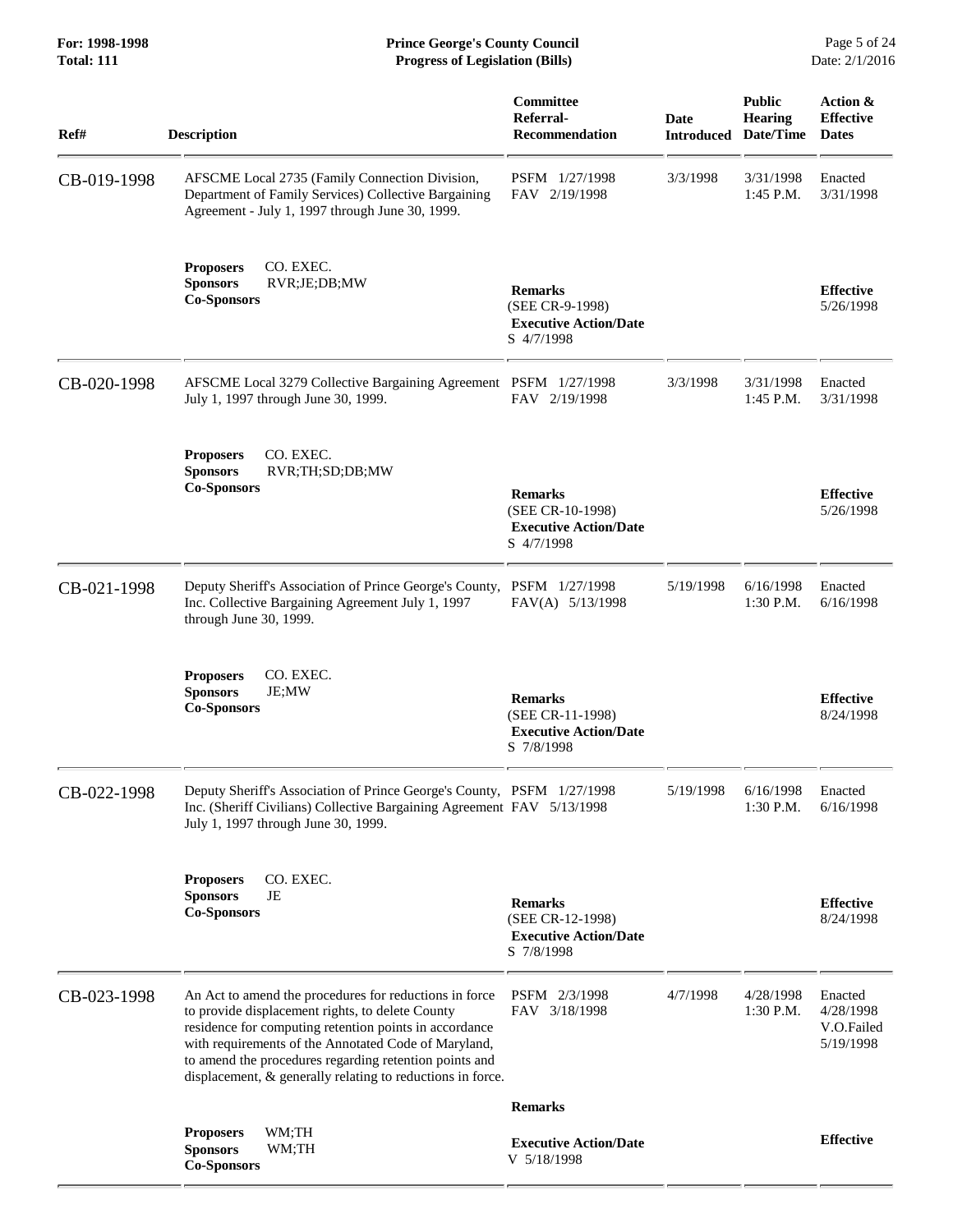| Ref#        | <b>Description</b>                                                                                                                                                                                                                                                                                                                                   | Committee<br>Referral-<br><b>Recommendation</b>                                  | <b>Date</b><br><b>Introduced</b> | <b>Public</b><br><b>Hearing</b><br>Date/Time | Action &<br><b>Effective</b><br><b>Dates</b>    |
|-------------|------------------------------------------------------------------------------------------------------------------------------------------------------------------------------------------------------------------------------------------------------------------------------------------------------------------------------------------------------|----------------------------------------------------------------------------------|----------------------------------|----------------------------------------------|-------------------------------------------------|
| CB-019-1998 | AFSCME Local 2735 (Family Connection Division,<br>Department of Family Services) Collective Bargaining<br>Agreement - July 1, 1997 through June 30, 1999.                                                                                                                                                                                            | PSFM 1/27/1998<br>FAV 2/19/1998                                                  | 3/3/1998                         | 3/31/1998<br>1:45 P.M.                       | Enacted<br>3/31/1998                            |
|             | CO. EXEC.<br><b>Proposers</b><br><b>Sponsors</b><br>RVR;JE;DB;MW<br><b>Co-Sponsors</b>                                                                                                                                                                                                                                                               | <b>Remarks</b><br>(SEE CR-9-1998)<br><b>Executive Action/Date</b><br>S 4/7/1998  |                                  |                                              | <b>Effective</b><br>5/26/1998                   |
| CB-020-1998 | AFSCME Local 3279 Collective Bargaining Agreement PSFM 1/27/1998<br>July 1, 1997 through June 30, 1999.                                                                                                                                                                                                                                              | FAV 2/19/1998                                                                    | 3/3/1998                         | 3/31/1998<br>1:45 P.M.                       | Enacted<br>3/31/1998                            |
|             | CO. EXEC.<br><b>Proposers</b><br><b>Sponsors</b><br>RVR;TH;SD;DB;MW<br><b>Co-Sponsors</b>                                                                                                                                                                                                                                                            | <b>Remarks</b><br>(SEE CR-10-1998)<br><b>Executive Action/Date</b><br>S 4/7/1998 |                                  |                                              | <b>Effective</b><br>5/26/1998                   |
| CB-021-1998 | Deputy Sheriff's Association of Prince George's County, PSFM 1/27/1998<br>Inc. Collective Bargaining Agreement July 1, 1997<br>through June 30, 1999.                                                                                                                                                                                                | FAV(A) 5/13/1998                                                                 | 5/19/1998                        | 6/16/1998<br>1:30 P.M.                       | Enacted<br>6/16/1998                            |
|             | CO. EXEC.<br><b>Proposers</b><br><b>Sponsors</b><br>JE;MW<br><b>Co-Sponsors</b>                                                                                                                                                                                                                                                                      | <b>Remarks</b><br>(SEE CR-11-1998)<br><b>Executive Action/Date</b><br>S 7/8/1998 |                                  |                                              | <b>Effective</b><br>8/24/1998                   |
| CB-022-1998 | Deputy Sheriff's Association of Prince George's County, PSFM 1/27/1998<br>Inc. (Sheriff Civilians) Collective Bargaining Agreement FAV 5/13/1998<br>July 1, 1997 through June 30, 1999.                                                                                                                                                              |                                                                                  | 5/19/1998                        | 6/16/1998<br>1:30 P.M.                       | Enacted<br>6/16/1998                            |
|             | CO. EXEC.<br><b>Proposers</b><br><b>Sponsors</b><br>JE<br><b>Co-Sponsors</b>                                                                                                                                                                                                                                                                         | <b>Remarks</b><br>(SEE CR-12-1998)<br><b>Executive Action/Date</b><br>S 7/8/1998 |                                  |                                              | <b>Effective</b><br>8/24/1998                   |
| CB-023-1998 | An Act to amend the procedures for reductions in force<br>to provide displacement rights, to delete County<br>residence for computing retention points in accordance<br>with requirements of the Annotated Code of Maryland,<br>to amend the procedures regarding retention points and<br>displacement, & generally relating to reductions in force. | PSFM 2/3/1998<br>FAV 3/18/1998                                                   | 4/7/1998                         | 4/28/1998<br>1:30 P.M.                       | Enacted<br>4/28/1998<br>V.O.Failed<br>5/19/1998 |
|             |                                                                                                                                                                                                                                                                                                                                                      | <b>Remarks</b>                                                                   |                                  |                                              |                                                 |
|             | WM;TH<br><b>Proposers</b><br><b>Sponsors</b><br>WM;TH<br><b>Co-Sponsors</b>                                                                                                                                                                                                                                                                          | <b>Executive Action/Date</b><br>V 5/18/1998                                      |                                  |                                              | <b>Effective</b>                                |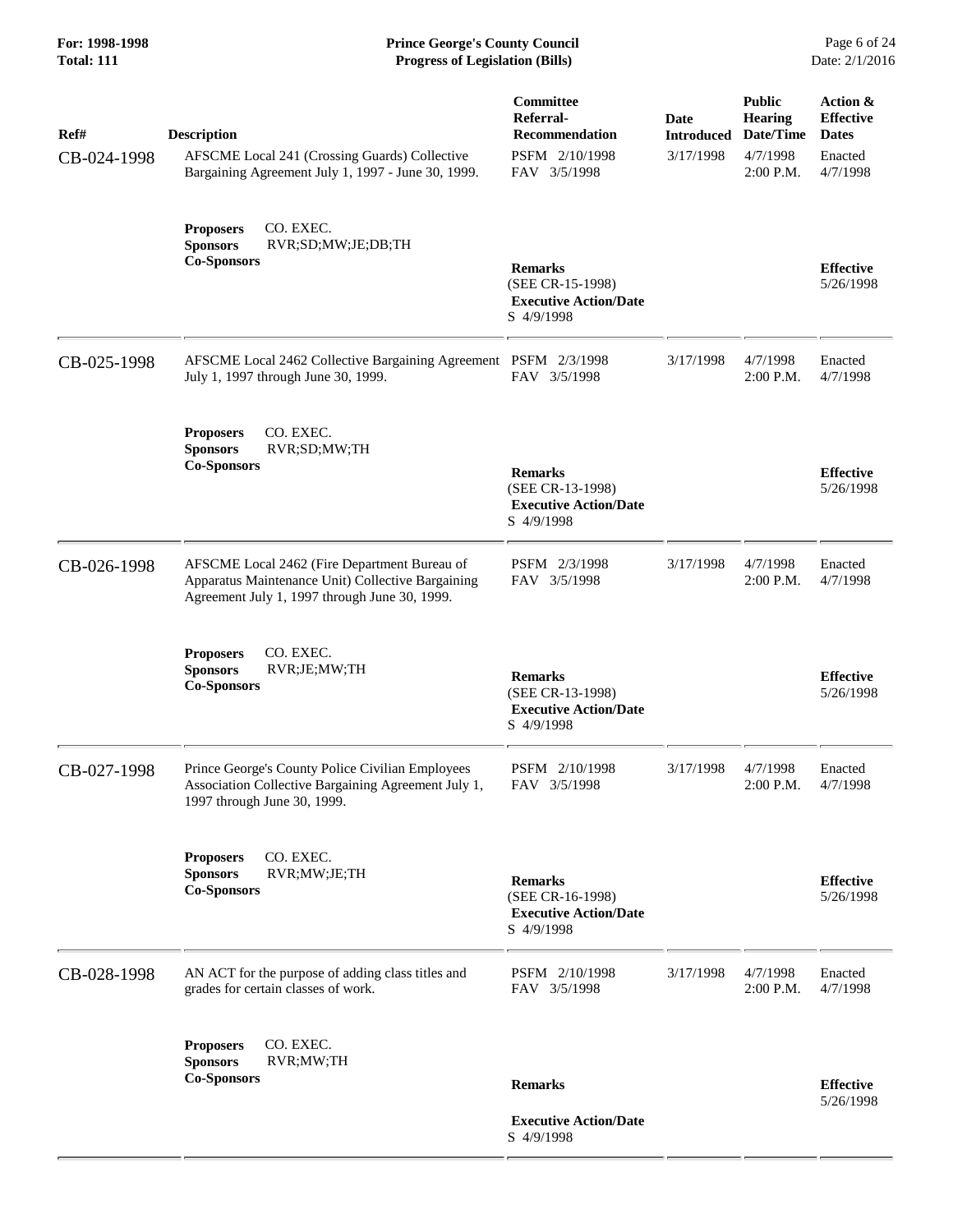**For: 1998-1998 Prince George's County Council** Page 6 of 24<br> **Prince George's County Council** Page 6 of 24<br> **Progress of Legislation (Bills)** Date: 2/1/2016 **Total: 111 Progress of Legislation (Bills)** 

| Ref#        | <b>Description</b>                                                                                                                                 | Committee<br>Referral-<br><b>Recommendation</b><br>PSFM 2/10/1998                | Date<br><b>Introduced</b><br>3/17/1998 | <b>Public</b><br><b>Hearing</b><br>Date/Time<br>4/7/1998 | Action &<br><b>Effective</b><br><b>Dates</b><br>Enacted |
|-------------|----------------------------------------------------------------------------------------------------------------------------------------------------|----------------------------------------------------------------------------------|----------------------------------------|----------------------------------------------------------|---------------------------------------------------------|
| CB-024-1998 | AFSCME Local 241 (Crossing Guards) Collective<br>Bargaining Agreement July 1, 1997 - June 30, 1999.                                                | FAV 3/5/1998                                                                     |                                        | $2:00$ P.M.                                              | 4/7/1998                                                |
|             | CO. EXEC.<br><b>Proposers</b><br><b>Sponsors</b><br>RVR;SD;MW;JE;DB;TH<br><b>Co-Sponsors</b>                                                       | <b>Remarks</b><br>(SEE CR-15-1998)<br><b>Executive Action/Date</b><br>S 4/9/1998 |                                        |                                                          | <b>Effective</b><br>5/26/1998                           |
| CB-025-1998 | AFSCME Local 2462 Collective Bargaining Agreement PSFM 2/3/1998<br>July 1, 1997 through June 30, 1999.                                             | FAV 3/5/1998                                                                     | 3/17/1998                              | 4/7/1998<br>2:00 P.M.                                    | Enacted<br>4/7/1998                                     |
|             | CO. EXEC.<br><b>Proposers</b><br><b>Sponsors</b><br>RVR;SD;MW;TH<br><b>Co-Sponsors</b>                                                             | <b>Remarks</b><br>(SEE CR-13-1998)<br><b>Executive Action/Date</b><br>S 4/9/1998 |                                        |                                                          | <b>Effective</b><br>5/26/1998                           |
| CB-026-1998 | AFSCME Local 2462 (Fire Department Bureau of<br>Apparatus Maintenance Unit) Collective Bargaining<br>Agreement July 1, 1997 through June 30, 1999. | PSFM 2/3/1998<br>FAV 3/5/1998                                                    | 3/17/1998                              | 4/7/1998<br>$2:00$ P.M.                                  | Enacted<br>4/7/1998                                     |
|             | CO. EXEC.<br><b>Proposers</b><br><b>Sponsors</b><br>RVR;JE;MW;TH<br><b>Co-Sponsors</b>                                                             | <b>Remarks</b><br>(SEE CR-13-1998)<br><b>Executive Action/Date</b><br>S 4/9/1998 |                                        |                                                          | <b>Effective</b><br>5/26/1998                           |
| CB-027-1998 | Prince George's County Police Civilian Employees<br>Association Collective Bargaining Agreement July 1,<br>1997 through June 30, 1999.             | PSFM 2/10/1998<br>FAV 3/5/1998                                                   | 3/17/1998                              | 4/7/1998<br>2:00 P.M.                                    | Enacted<br>4/7/1998                                     |
|             | CO. EXEC.<br><b>Proposers</b><br><b>Sponsors</b><br>RVR;MW;JE;TH<br><b>Co-Sponsors</b>                                                             | <b>Remarks</b><br>(SEE CR-16-1998)<br><b>Executive Action/Date</b><br>S 4/9/1998 |                                        |                                                          | <b>Effective</b><br>5/26/1998                           |
| CB-028-1998 | AN ACT for the purpose of adding class titles and<br>grades for certain classes of work.                                                           | PSFM 2/10/1998<br>FAV 3/5/1998                                                   | 3/17/1998                              | 4/7/1998<br>$2:00$ P.M.                                  | Enacted<br>4/7/1998                                     |
|             | CO. EXEC.<br><b>Proposers</b><br><b>Sponsors</b><br>RVR;MW;TH<br><b>Co-Sponsors</b>                                                                | <b>Remarks</b><br><b>Executive Action/Date</b>                                   |                                        |                                                          | <b>Effective</b><br>5/26/1998                           |
|             |                                                                                                                                                    | S 4/9/1998                                                                       |                                        |                                                          |                                                         |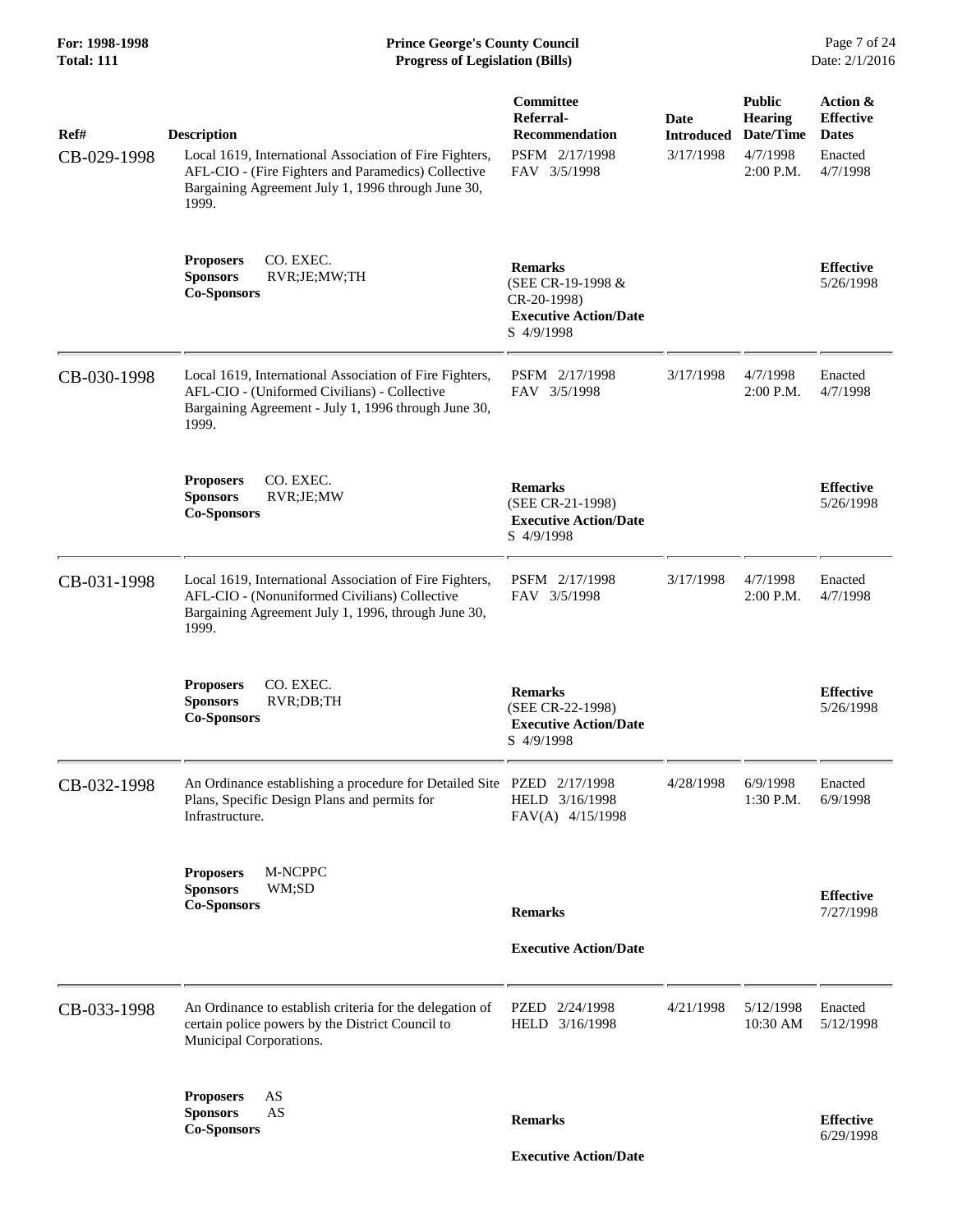| Ref#<br>CB-029-1998 | <b>Description</b><br>Local 1619, International Association of Fire Fighters,<br>AFL-CIO - (Fire Fighters and Paramedics) Collective<br>Bargaining Agreement July 1, 1996 through June 30,<br>1999. | Committee<br>Referral-<br><b>Recommendation</b><br>PSFM 2/17/1998<br>FAV 3/5/1998                | Date<br><b>Introduced</b><br>3/17/1998 | <b>Public</b><br><b>Hearing</b><br>Date/Time<br>4/7/1998<br>2:00 P.M. | Action &<br><b>Effective</b><br><b>Dates</b><br>Enacted<br>4/7/1998 |
|---------------------|-----------------------------------------------------------------------------------------------------------------------------------------------------------------------------------------------------|--------------------------------------------------------------------------------------------------|----------------------------------------|-----------------------------------------------------------------------|---------------------------------------------------------------------|
|                     | CO. EXEC.<br><b>Proposers</b><br><b>Sponsors</b><br>RVR;JE;MW;TH<br><b>Co-Sponsors</b>                                                                                                              | <b>Remarks</b><br>(SEE CR-19-1998 &<br>CR-20-1998)<br><b>Executive Action/Date</b><br>S 4/9/1998 |                                        |                                                                       | <b>Effective</b><br>5/26/1998                                       |
| CB-030-1998         | Local 1619, International Association of Fire Fighters,<br>AFL-CIO - (Uniformed Civilians) - Collective<br>Bargaining Agreement - July 1, 1996 through June 30,<br>1999.                            | PSFM 2/17/1998<br>FAV 3/5/1998                                                                   | 3/17/1998                              | 4/7/1998<br>2:00 P.M.                                                 | Enacted<br>4/7/1998                                                 |
|                     | CO. EXEC.<br><b>Proposers</b><br><b>Sponsors</b><br>RVR;JE;MW<br><b>Co-Sponsors</b>                                                                                                                 | <b>Remarks</b><br>(SEE CR-21-1998)<br><b>Executive Action/Date</b><br>S 4/9/1998                 |                                        |                                                                       | <b>Effective</b><br>5/26/1998                                       |
| CB-031-1998         | Local 1619, International Association of Fire Fighters,<br>AFL-CIO - (Nonuniformed Civilians) Collective<br>Bargaining Agreement July 1, 1996, through June 30,<br>1999.                            | PSFM 2/17/1998<br>FAV 3/5/1998                                                                   | 3/17/1998                              | 4/7/1998<br>2:00 P.M.                                                 | Enacted<br>4/7/1998                                                 |
|                     | CO. EXEC.<br><b>Proposers</b><br><b>Sponsors</b><br>RVR;DB;TH<br><b>Co-Sponsors</b>                                                                                                                 | <b>Remarks</b><br>(SEE CR-22-1998)<br><b>Executive Action/Date</b><br>S 4/9/1998                 |                                        |                                                                       | <b>Effective</b><br>5/26/1998                                       |
| CB-032-1998         | An Ordinance establishing a procedure for Detailed Site PZED 2/17/1998<br>Plans, Specific Design Plans and permits for<br>Infrastructure.                                                           | HELD 3/16/1998<br>FAV(A) 4/15/1998                                                               | 4/28/1998                              | 6/9/1998<br>$1:30$ P.M.                                               | Enacted<br>6/9/1998                                                 |
|                     | M-NCPPC<br><b>Proposers</b><br><b>Sponsors</b><br>WM;SD<br><b>Co-Sponsors</b>                                                                                                                       | <b>Remarks</b><br><b>Executive Action/Date</b>                                                   |                                        |                                                                       | <b>Effective</b><br>7/27/1998                                       |
| CB-033-1998         | An Ordinance to establish criteria for the delegation of<br>certain police powers by the District Council to<br>Municipal Corporations.                                                             | PZED 2/24/1998<br>HELD 3/16/1998                                                                 | 4/21/1998                              | 5/12/1998<br>10:30 AM                                                 | Enacted<br>5/12/1998                                                |
|                     | AS<br><b>Proposers</b><br><b>Sponsors</b><br>AS<br><b>Co-Sponsors</b>                                                                                                                               | <b>Remarks</b>                                                                                   |                                        |                                                                       | <b>Effective</b><br>6/29/1998                                       |

 **Executive Action/Date**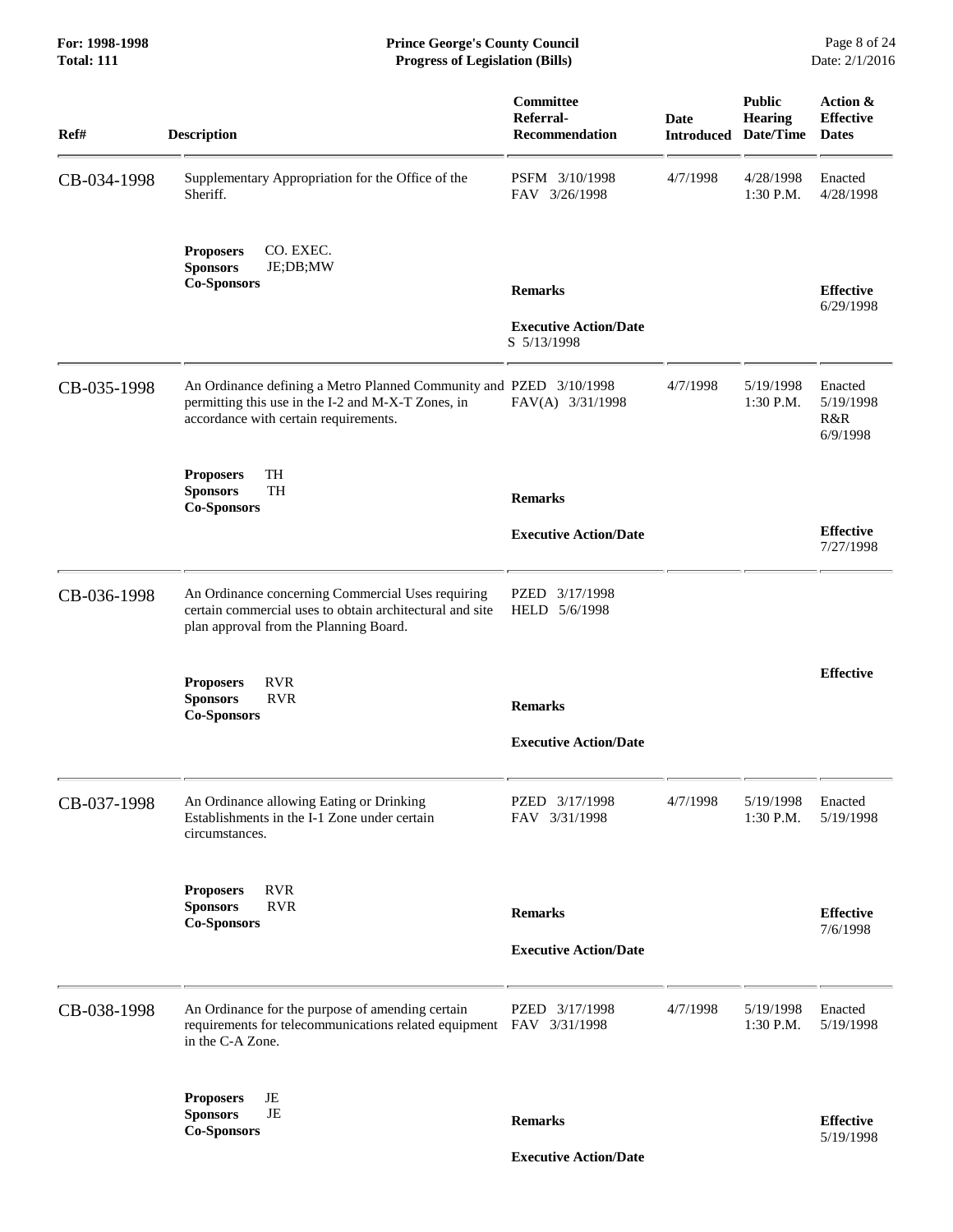#### **For: 1998-1998 Prince George's County Council** Page 8 of 24<br> **Prince George's County Council** Page 8 of 24<br> **Progress of Legislation (Bills)** Date: 2/1/2016 **Total: 111 Progress of Legislation (Bills)**

| Ref#        | <b>Description</b>                                                                                                                                                | Committee<br>Referral-<br><b>Recommendation</b> | Date     | <b>Public</b><br>Hearing<br><b>Introduced Date/Time</b> | Action &<br><b>Effective</b><br><b>Dates</b> |
|-------------|-------------------------------------------------------------------------------------------------------------------------------------------------------------------|-------------------------------------------------|----------|---------------------------------------------------------|----------------------------------------------|
| CB-034-1998 | Supplementary Appropriation for the Office of the<br>Sheriff.                                                                                                     | PSFM 3/10/1998<br>FAV 3/26/1998                 | 4/7/1998 | 4/28/1998<br>$1:30$ P.M.                                | Enacted<br>4/28/1998                         |
|             | CO. EXEC.<br><b>Proposers</b><br><b>Sponsors</b><br>JE;DB;MW<br><b>Co-Sponsors</b>                                                                                | <b>Remarks</b>                                  |          |                                                         | <b>Effective</b>                             |
|             |                                                                                                                                                                   | <b>Executive Action/Date</b><br>S 5/13/1998     |          |                                                         | 6/29/1998                                    |
| CB-035-1998 | An Ordinance defining a Metro Planned Community and PZED 3/10/1998<br>permitting this use in the I-2 and M-X-T Zones, in<br>accordance with certain requirements. | FAV(A) 3/31/1998                                | 4/7/1998 | 5/19/1998<br>1:30 P.M.                                  | Enacted<br>5/19/1998<br>R&R<br>6/9/1998      |
|             | TH<br><b>Proposers</b><br>TH<br><b>Sponsors</b><br><b>Co-Sponsors</b>                                                                                             | <b>Remarks</b>                                  |          |                                                         |                                              |
|             |                                                                                                                                                                   | <b>Executive Action/Date</b>                    |          |                                                         | <b>Effective</b><br>7/27/1998                |
| CB-036-1998 | An Ordinance concerning Commercial Uses requiring<br>certain commercial uses to obtain architectural and site<br>plan approval from the Planning Board.           | PZED<br>3/17/1998<br>HELD 5/6/1998              |          |                                                         |                                              |
|             | <b>RVR</b><br><b>Proposers</b><br><b>RVR</b><br><b>Sponsors</b><br><b>Co-Sponsors</b>                                                                             | <b>Remarks</b>                                  |          |                                                         | <b>Effective</b>                             |
|             |                                                                                                                                                                   | <b>Executive Action/Date</b>                    |          |                                                         |                                              |
| CB-037-1998 | An Ordinance allowing Eating or Drinking<br>Establishments in the I-1 Zone under certain<br>circumstances.                                                        | PZED 3/17/1998<br>FAV 3/31/1998                 | 4/7/1998 | 5/19/1998<br>1:30 P.M.                                  | Enacted<br>5/19/1998                         |
|             | <b>RVR</b><br><b>Proposers</b><br><b>RVR</b><br><b>Sponsors</b><br><b>Co-Sponsors</b>                                                                             | <b>Remarks</b>                                  |          |                                                         | <b>Effective</b><br>7/6/1998                 |
|             |                                                                                                                                                                   | <b>Executive Action/Date</b>                    |          |                                                         |                                              |
| CB-038-1998 | An Ordinance for the purpose of amending certain<br>requirements for telecommunications related equipment FAV 3/31/1998<br>in the C-A Zone.                       | PZED 3/17/1998                                  | 4/7/1998 | 5/19/1998<br>$1:30$ P.M.                                | Enacted<br>5/19/1998                         |
|             | JE<br><b>Proposers</b><br>JE<br><b>Sponsors</b><br><b>Co-Sponsors</b>                                                                                             | <b>Remarks</b>                                  |          |                                                         | <b>Effective</b><br>5/19/1998                |

 **Executive Action/Date**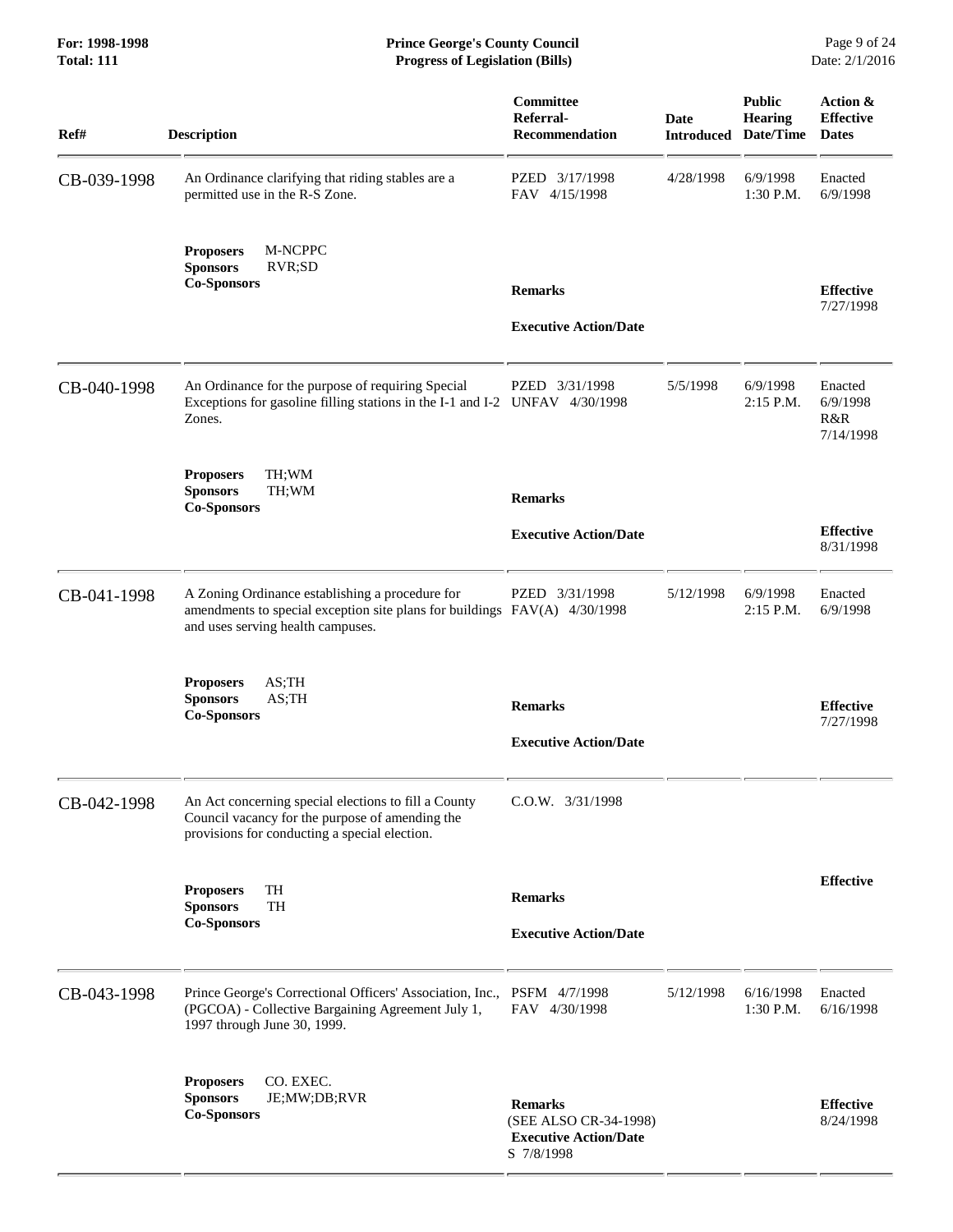| Ref#        | <b>Description</b>                                                                                                                                                | Committee<br>Referral-<br><b>Recommendation</b>                                       | <b>Date</b> | <b>Public</b><br>Hearing<br><b>Introduced Date/Time</b> | Action &<br><b>Effective</b><br><b>Dates</b> |
|-------------|-------------------------------------------------------------------------------------------------------------------------------------------------------------------|---------------------------------------------------------------------------------------|-------------|---------------------------------------------------------|----------------------------------------------|
| CB-039-1998 | An Ordinance clarifying that riding stables are a<br>permitted use in the R-S Zone.                                                                               | PZED 3/17/1998<br>FAV 4/15/1998                                                       | 4/28/1998   | 6/9/1998<br>1:30 P.M.                                   | Enacted<br>6/9/1998                          |
|             | M-NCPPC<br><b>Proposers</b><br><b>Sponsors</b><br>RVR;SD<br><b>Co-Sponsors</b>                                                                                    | <b>Remarks</b><br><b>Executive Action/Date</b>                                        |             |                                                         | <b>Effective</b><br>7/27/1998                |
| CB-040-1998 | An Ordinance for the purpose of requiring Special<br>Exceptions for gasoline filling stations in the I-1 and I-2 UNFAV 4/30/1998<br>Zones.                        | PZED 3/31/1998                                                                        | 5/5/1998    | 6/9/1998<br>2:15 P.M.                                   | Enacted<br>6/9/1998<br>R&R<br>7/14/1998      |
|             | TH;WM<br><b>Proposers</b><br><b>Sponsors</b><br>TH;WM<br><b>Co-Sponsors</b>                                                                                       | <b>Remarks</b>                                                                        |             |                                                         |                                              |
|             |                                                                                                                                                                   | <b>Executive Action/Date</b>                                                          |             |                                                         | <b>Effective</b><br>8/31/1998                |
| CB-041-1998 | A Zoning Ordinance establishing a procedure for<br>amendments to special exception site plans for buildings FAV(A) 4/30/1998<br>and uses serving health campuses. | PZED 3/31/1998                                                                        | 5/12/1998   | 6/9/1998<br>2:15 P.M.                                   | Enacted<br>6/9/1998                          |
|             | <b>Proposers</b><br>AS;TH<br><b>Sponsors</b><br>$AS$ ; TH<br><b>Co-Sponsors</b>                                                                                   | <b>Remarks</b><br><b>Executive Action/Date</b>                                        |             |                                                         | <b>Effective</b><br>7/27/1998                |
| CB-042-1998 | An Act concerning special elections to fill a County<br>Council vacancy for the purpose of amending the<br>provisions for conducting a special election.          | $C.0.W.$ $3/31/1998$                                                                  |             |                                                         |                                              |
|             | TH<br><b>Proposers</b><br><b>Sponsors</b><br><b>TH</b><br><b>Co-Sponsors</b>                                                                                      | <b>Remarks</b><br><b>Executive Action/Date</b>                                        |             |                                                         | <b>Effective</b>                             |
| CB-043-1998 | Prince George's Correctional Officers' Association, Inc.,<br>(PGCOA) - Collective Bargaining Agreement July 1,<br>1997 through June 30, 1999.                     | PSFM 4/7/1998<br>FAV 4/30/1998                                                        | 5/12/1998   | 6/16/1998<br>1:30 P.M.                                  | Enacted<br>6/16/1998                         |
|             | CO. EXEC.<br><b>Proposers</b><br><b>Sponsors</b><br>JE;MW;DB;RVR<br><b>Co-Sponsors</b>                                                                            | <b>Remarks</b><br>(SEE ALSO CR-34-1998)<br><b>Executive Action/Date</b><br>S 7/8/1998 |             |                                                         | <b>Effective</b><br>8/24/1998                |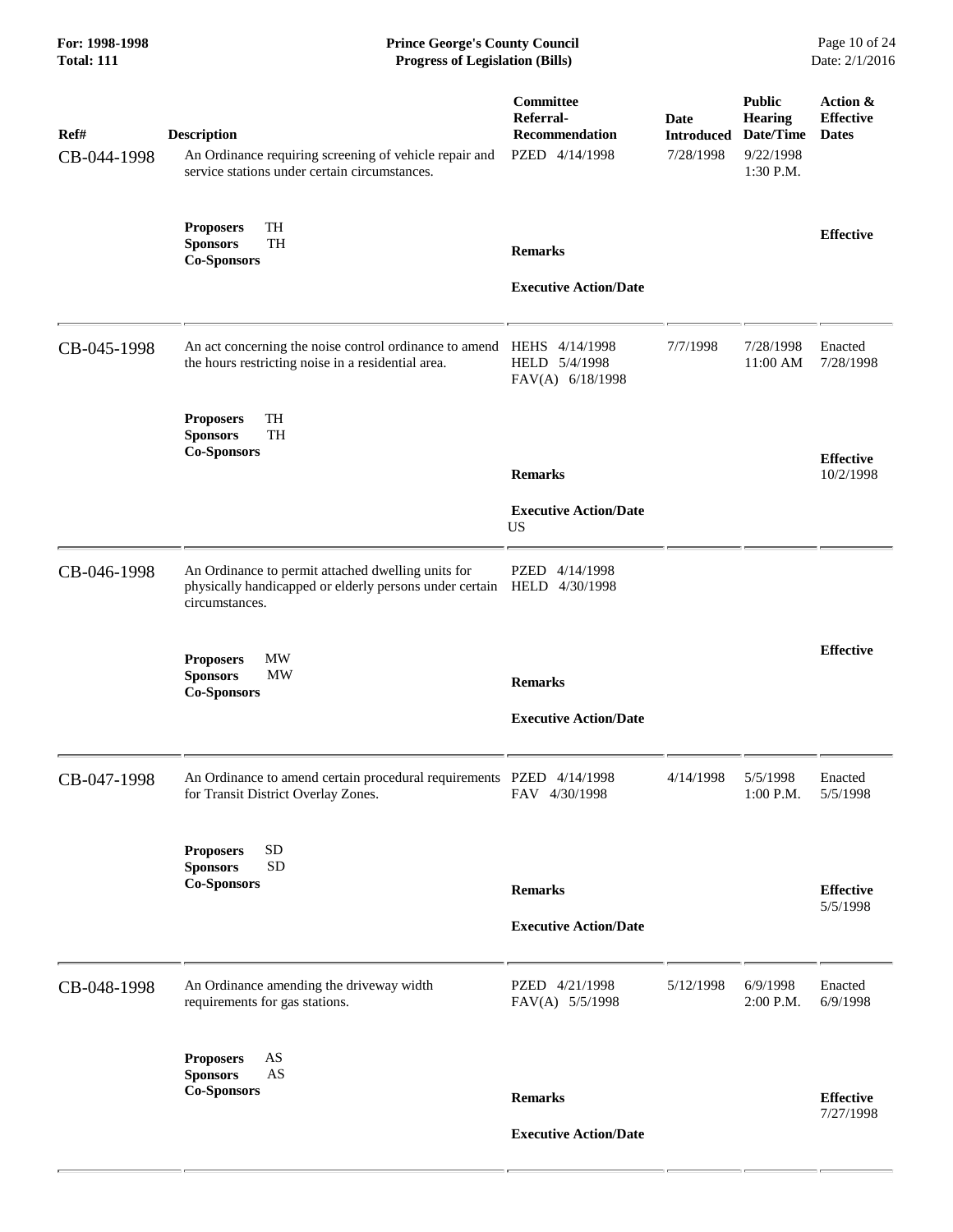| For: 1998-1998<br><b>Total: 111</b> | <b>Prince George's County Council</b><br><b>Progress of Legislation (Bills)</b>                                                                |                                                                   |                                        |                                                                 | Page 10 of 24<br>Date: 2/1/2016              |
|-------------------------------------|------------------------------------------------------------------------------------------------------------------------------------------------|-------------------------------------------------------------------|----------------------------------------|-----------------------------------------------------------------|----------------------------------------------|
| Ref#<br>CB-044-1998                 | <b>Description</b><br>An Ordinance requiring screening of vehicle repair and<br>service stations under certain circumstances.                  | Committee<br>Referral-<br><b>Recommendation</b><br>PZED 4/14/1998 | Date<br><b>Introduced</b><br>7/28/1998 | <b>Public</b><br>Hearing<br>Date/Time<br>9/22/1998<br>1:30 P.M. | Action &<br><b>Effective</b><br><b>Dates</b> |
|                                     | TH<br><b>Proposers</b><br>TH<br><b>Sponsors</b><br><b>Co-Sponsors</b>                                                                          | <b>Remarks</b><br><b>Executive Action/Date</b>                    |                                        |                                                                 | <b>Effective</b>                             |
| CB-045-1998                         | An act concerning the noise control ordinance to amend<br>the hours restricting noise in a residential area.                                   | HEHS 4/14/1998<br>HELD 5/4/1998<br>FAV(A) 6/18/1998               | 7/7/1998                               | 7/28/1998<br>11:00 AM                                           | Enacted<br>7/28/1998                         |
|                                     | TH<br><b>Proposers</b><br><b>Sponsors</b><br><b>TH</b><br><b>Co-Sponsors</b>                                                                   | <b>Remarks</b><br><b>Executive Action/Date</b><br><b>US</b>       |                                        |                                                                 | <b>Effective</b><br>10/2/1998                |
| CB-046-1998                         | An Ordinance to permit attached dwelling units for<br>physically handicapped or elderly persons under certain HELD 4/30/1998<br>circumstances. | PZED<br>4/14/1998                                                 |                                        |                                                                 |                                              |
|                                     | <b>MW</b><br><b>Proposers</b><br>MW<br><b>Sponsors</b><br><b>Co-Sponsors</b>                                                                   | <b>Remarks</b><br><b>Executive Action/Date</b>                    |                                        |                                                                 | <b>Effective</b>                             |
| CB-047-1998                         | An Ordinance to amend certain procedural requirements PZED 4/14/1998<br>for Transit District Overlay Zones.                                    | FAV 4/30/1998                                                     | 4/14/1998                              | 5/5/1998<br>1:00 P.M.                                           | Enacted<br>5/5/1998                          |
|                                     | <b>SD</b><br><b>Proposers</b><br><b>SD</b><br><b>Sponsors</b><br><b>Co-Sponsors</b>                                                            | <b>Remarks</b><br><b>Executive Action/Date</b>                    |                                        |                                                                 | <b>Effective</b><br>5/5/1998                 |
| CB-048-1998                         | An Ordinance amending the driveway width<br>requirements for gas stations.                                                                     | PZED 4/21/1998<br>FAV(A) 5/5/1998                                 | 5/12/1998                              | 6/9/1998<br>2:00 P.M.                                           | Enacted<br>6/9/1998                          |
|                                     | AS<br><b>Proposers</b><br><b>Sponsors</b><br>AS<br><b>Co-Sponsors</b>                                                                          | <b>Remarks</b><br><b>Executive Action/Date</b>                    |                                        |                                                                 | <b>Effective</b><br>7/27/1998                |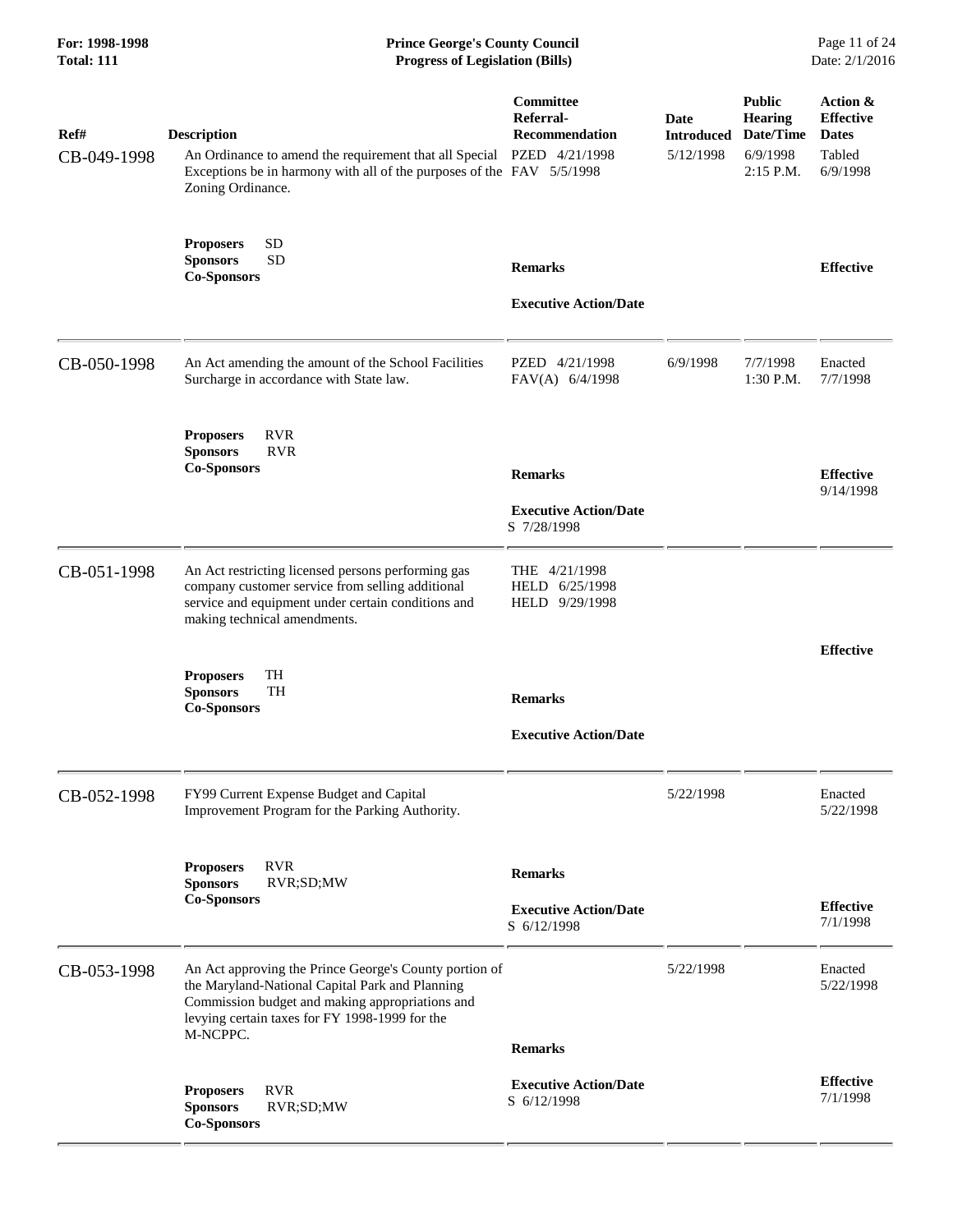| For: 1998-1998<br><b>Total: 111</b> | <b>Prince George's County Council</b><br><b>Progress of Legislation (Bills)</b>                                                                                                                                            |                                                               |                                               |                                                                         | Page 11 of 24<br>Date: 2/1/2016                                    |
|-------------------------------------|----------------------------------------------------------------------------------------------------------------------------------------------------------------------------------------------------------------------------|---------------------------------------------------------------|-----------------------------------------------|-------------------------------------------------------------------------|--------------------------------------------------------------------|
| Ref#<br>CB-049-1998                 | <b>Description</b><br>An Ordinance to amend the requirement that all Special PZED 4/21/1998<br>Exceptions be in harmony with all of the purposes of the FAV 5/5/1998<br>Zoning Ordinance.                                  | <b>Committee</b><br>Referral-<br><b>Recommendation</b>        | <b>Date</b><br><b>Introduced</b><br>5/12/1998 | <b>Public</b><br><b>Hearing</b><br>Date/Time<br>6/9/1998<br>$2:15$ P.M. | Action &<br><b>Effective</b><br><b>Dates</b><br>Tabled<br>6/9/1998 |
|                                     | <b>SD</b><br><b>Proposers</b><br><b>SD</b><br><b>Sponsors</b><br><b>Co-Sponsors</b>                                                                                                                                        | <b>Remarks</b><br><b>Executive Action/Date</b>                |                                               |                                                                         | <b>Effective</b>                                                   |
| CB-050-1998                         | An Act amending the amount of the School Facilities<br>Surcharge in accordance with State law.                                                                                                                             | PZED 4/21/1998<br>FAV(A) 6/4/1998                             | 6/9/1998                                      | 7/7/1998<br>$1:30$ P.M.                                                 | Enacted<br>7/7/1998                                                |
|                                     | <b>Proposers</b><br><b>RVR</b><br><b>RVR</b><br><b>Sponsors</b><br><b>Co-Sponsors</b>                                                                                                                                      | <b>Remarks</b><br><b>Executive Action/Date</b><br>S 7/28/1998 |                                               |                                                                         | <b>Effective</b><br>9/14/1998                                      |
| CB-051-1998                         | An Act restricting licensed persons performing gas<br>company customer service from selling additional<br>service and equipment under certain conditions and<br>making technical amendments.                               | THE 4/21/1998<br>HELD 6/25/1998<br>HELD 9/29/1998             |                                               |                                                                         |                                                                    |
|                                     | TH<br><b>Proposers</b><br><b>Sponsors</b><br>TH<br><b>Co-Sponsors</b>                                                                                                                                                      | <b>Remarks</b><br><b>Executive Action/Date</b>                |                                               |                                                                         | <b>Effective</b>                                                   |
| CB-052-1998                         | FY99 Current Expense Budget and Capital<br>Improvement Program for the Parking Authority.                                                                                                                                  |                                                               | 5/22/1998                                     |                                                                         | Enacted<br>5/22/1998                                               |
|                                     | <b>RVR</b><br><b>Proposers</b><br><b>Sponsors</b><br>RVR;SD;MW<br><b>Co-Sponsors</b>                                                                                                                                       | <b>Remarks</b><br><b>Executive Action/Date</b><br>S 6/12/1998 |                                               |                                                                         | <b>Effective</b><br>7/1/1998                                       |
| CB-053-1998                         | An Act approving the Prince George's County portion of<br>the Maryland-National Capital Park and Planning<br>Commission budget and making appropriations and<br>levying certain taxes for FY 1998-1999 for the<br>M-NCPPC. | <b>Remarks</b>                                                | 5/22/1998                                     |                                                                         | Enacted<br>5/22/1998                                               |
|                                     | <b>RVR</b><br><b>Proposers</b><br><b>Sponsors</b><br>RVR;SD;MW<br><b>Co-Sponsors</b>                                                                                                                                       | <b>Executive Action/Date</b><br>S 6/12/1998                   |                                               |                                                                         | <b>Effective</b><br>7/1/1998                                       |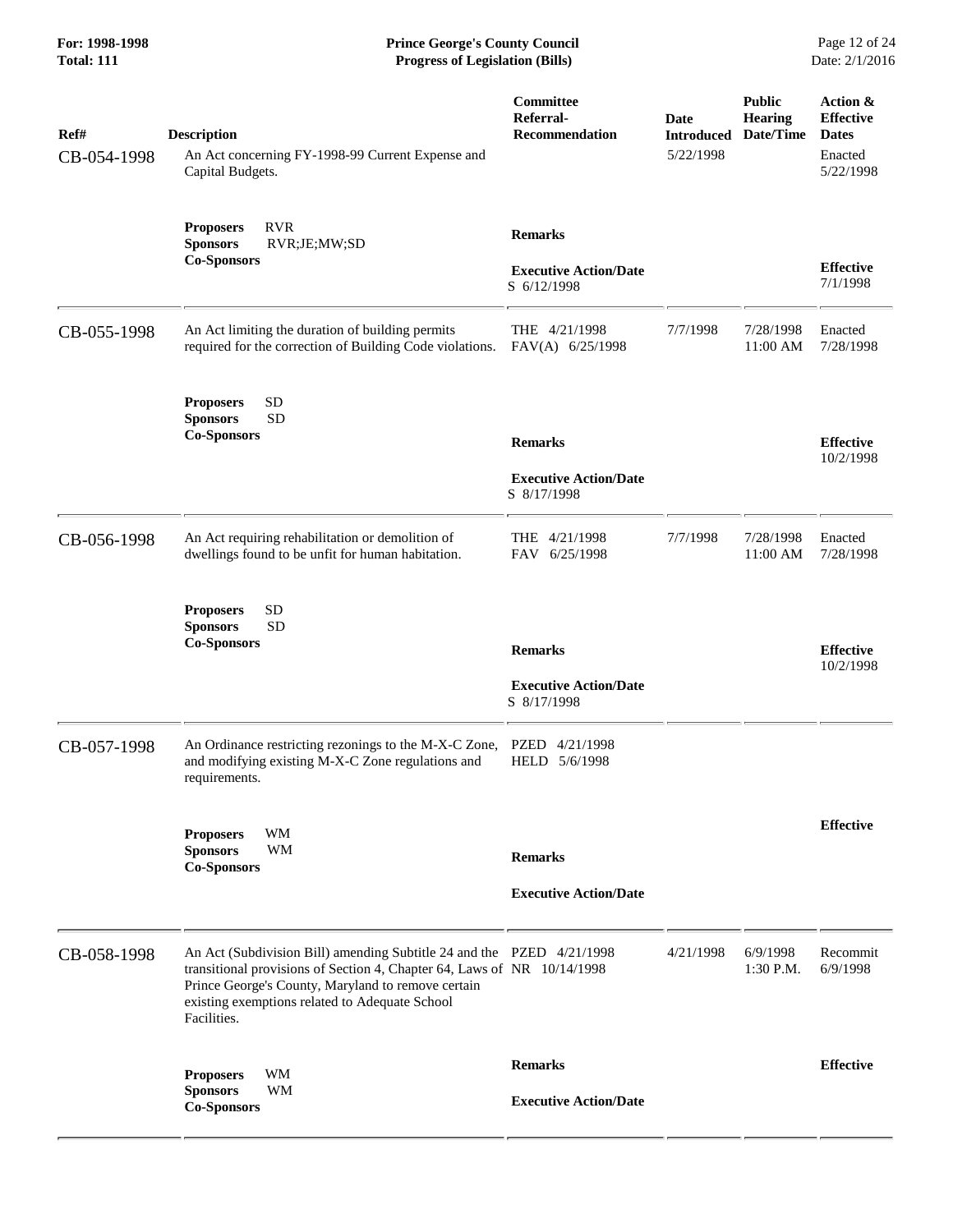| Ref#<br>CB-054-1998 | <b>Description</b><br>An Act concerning FY-1998-99 Current Expense and<br>Capital Budgets.                                                                                                                                                                              | Committee<br>Referral-<br><b>Recommendation</b>               | Date<br><b>Introduced</b><br>5/22/1998 | <b>Public</b><br><b>Hearing</b><br>Date/Time | Action &<br><b>Effective</b><br><b>Dates</b><br>Enacted<br>5/22/1998 |
|---------------------|-------------------------------------------------------------------------------------------------------------------------------------------------------------------------------------------------------------------------------------------------------------------------|---------------------------------------------------------------|----------------------------------------|----------------------------------------------|----------------------------------------------------------------------|
|                     | <b>RVR</b><br><b>Proposers</b><br><b>Sponsors</b><br>RVR;JE;MW;SD<br><b>Co-Sponsors</b>                                                                                                                                                                                 | <b>Remarks</b><br><b>Executive Action/Date</b><br>S 6/12/1998 |                                        |                                              | <b>Effective</b><br>7/1/1998                                         |
| CB-055-1998         | An Act limiting the duration of building permits<br>required for the correction of Building Code violations.                                                                                                                                                            | THE 4/21/1998<br>FAV(A) 6/25/1998                             | 7/7/1998                               | 7/28/1998<br>11:00 AM                        | Enacted<br>7/28/1998                                                 |
|                     | <b>SD</b><br><b>Proposers</b><br><b>SD</b><br><b>Sponsors</b><br><b>Co-Sponsors</b>                                                                                                                                                                                     | <b>Remarks</b><br><b>Executive Action/Date</b><br>S 8/17/1998 |                                        |                                              | <b>Effective</b><br>10/2/1998                                        |
| CB-056-1998         | An Act requiring rehabilitation or demolition of<br>dwellings found to be unfit for human habitation.                                                                                                                                                                   | THE 4/21/1998<br>FAV 6/25/1998                                | 7/7/1998                               | 7/28/1998<br>11:00 AM                        | Enacted<br>7/28/1998                                                 |
|                     | <b>SD</b><br><b>Proposers</b><br><b>SD</b><br><b>Sponsors</b><br><b>Co-Sponsors</b>                                                                                                                                                                                     | <b>Remarks</b><br><b>Executive Action/Date</b><br>S 8/17/1998 |                                        |                                              | <b>Effective</b><br>10/2/1998                                        |
| CB-057-1998         | An Ordinance restricting rezonings to the M-X-C Zone,<br>and modifying existing M-X-C Zone regulations and<br>requirements.                                                                                                                                             | <b>PZED</b><br>4/21/1998<br>HELD 5/6/1998                     |                                        |                                              |                                                                      |
|                     | <b>WM</b><br><b>Proposers</b><br><b>WM</b><br><b>Sponsors</b><br><b>Co-Sponsors</b>                                                                                                                                                                                     | <b>Remarks</b><br><b>Executive Action/Date</b>                |                                        |                                              | <b>Effective</b>                                                     |
| CB-058-1998         | An Act (Subdivision Bill) amending Subtitle 24 and the PZED 4/21/1998<br>transitional provisions of Section 4, Chapter 64, Laws of NR 10/14/1998<br>Prince George's County, Maryland to remove certain<br>existing exemptions related to Adequate School<br>Facilities. |                                                               | 4/21/1998                              | 6/9/1998<br>1:30 P.M.                        | Recommit<br>6/9/1998                                                 |
|                     | <b>WM</b><br><b>Proposers</b><br><b>WM</b><br><b>Sponsors</b><br><b>Co-Sponsors</b>                                                                                                                                                                                     | <b>Remarks</b><br><b>Executive Action/Date</b>                |                                        |                                              | <b>Effective</b>                                                     |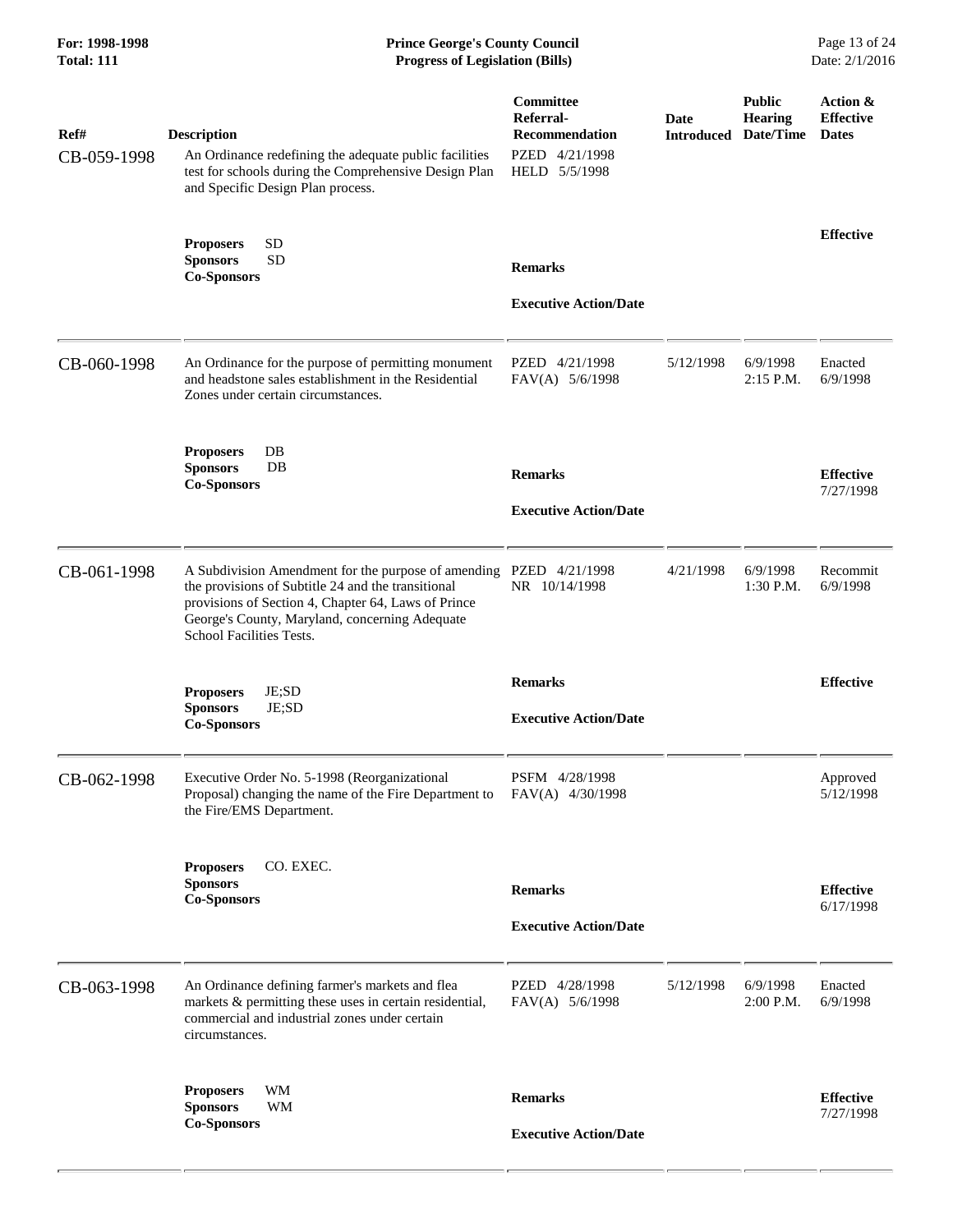| Ref#<br>CB-059-1998 | <b>Description</b><br>An Ordinance redefining the adequate public facilities<br>test for schools during the Comprehensive Design Plan<br>and Specific Design Plan process.                                                                            | Committee<br>Referral-<br><b>Recommendation</b><br>PZED 4/21/1998<br>HELD 5/5/1998 | Date<br><b>Introduced</b> | <b>Public</b><br><b>Hearing</b><br>Date/Time | Action &<br><b>Effective</b><br><b>Dates</b> |
|---------------------|-------------------------------------------------------------------------------------------------------------------------------------------------------------------------------------------------------------------------------------------------------|------------------------------------------------------------------------------------|---------------------------|----------------------------------------------|----------------------------------------------|
|                     | <b>SD</b><br><b>Proposers</b><br><b>SD</b><br><b>Sponsors</b><br><b>Co-Sponsors</b>                                                                                                                                                                   | <b>Remarks</b><br><b>Executive Action/Date</b>                                     |                           |                                              | <b>Effective</b>                             |
| CB-060-1998         | An Ordinance for the purpose of permitting monument<br>and headstone sales establishment in the Residential<br>Zones under certain circumstances.                                                                                                     | PZED 4/21/1998<br>FAV(A) 5/6/1998                                                  | 5/12/1998                 | 6/9/1998<br>2:15 P.M.                        | Enacted<br>6/9/1998                          |
|                     | DB<br><b>Proposers</b><br><b>Sponsors</b><br>DB<br><b>Co-Sponsors</b>                                                                                                                                                                                 | <b>Remarks</b><br><b>Executive Action/Date</b>                                     |                           |                                              | <b>Effective</b><br>7/27/1998                |
| CB-061-1998         | A Subdivision Amendment for the purpose of amending<br>the provisions of Subtitle 24 and the transitional<br>provisions of Section 4, Chapter 64, Laws of Prince<br>George's County, Maryland, concerning Adequate<br><b>School Facilities Tests.</b> | PZED 4/21/1998<br>NR 10/14/1998                                                    | 4/21/1998                 | 6/9/1998<br>1:30 P.M.                        | Recommit<br>6/9/1998                         |
|                     | JE;SD<br><b>Proposers</b><br>JE;SD<br><b>Sponsors</b><br><b>Co-Sponsors</b>                                                                                                                                                                           | <b>Remarks</b><br><b>Executive Action/Date</b>                                     |                           |                                              | <b>Effective</b>                             |
| CB-062-1998         | Executive Order No. 5-1998 (Reorganizational<br>Proposal) changing the name of the Fire Department to FAV(A) 4/30/1998<br>the Fire/EMS Department.                                                                                                    | PSFM 4/28/1998                                                                     |                           |                                              | Approved<br>5/12/1998                        |
|                     | CO. EXEC.<br><b>Proposers</b><br><b>Sponsors</b><br><b>Co-Sponsors</b>                                                                                                                                                                                | <b>Remarks</b><br><b>Executive Action/Date</b>                                     |                           |                                              | <b>Effective</b><br>6/17/1998                |
| CB-063-1998         | An Ordinance defining farmer's markets and flea<br>markets & permitting these uses in certain residential,<br>commercial and industrial zones under certain<br>circumstances.                                                                         | PZED 4/28/1998<br>FAV(A) 5/6/1998                                                  | 5/12/1998                 | 6/9/1998<br>2:00 P.M.                        | Enacted<br>6/9/1998                          |
|                     | WM<br><b>Proposers</b><br><b>Sponsors</b><br>WM<br><b>Co-Sponsors</b>                                                                                                                                                                                 | <b>Remarks</b><br><b>Executive Action/Date</b>                                     |                           |                                              | <b>Effective</b><br>7/27/1998                |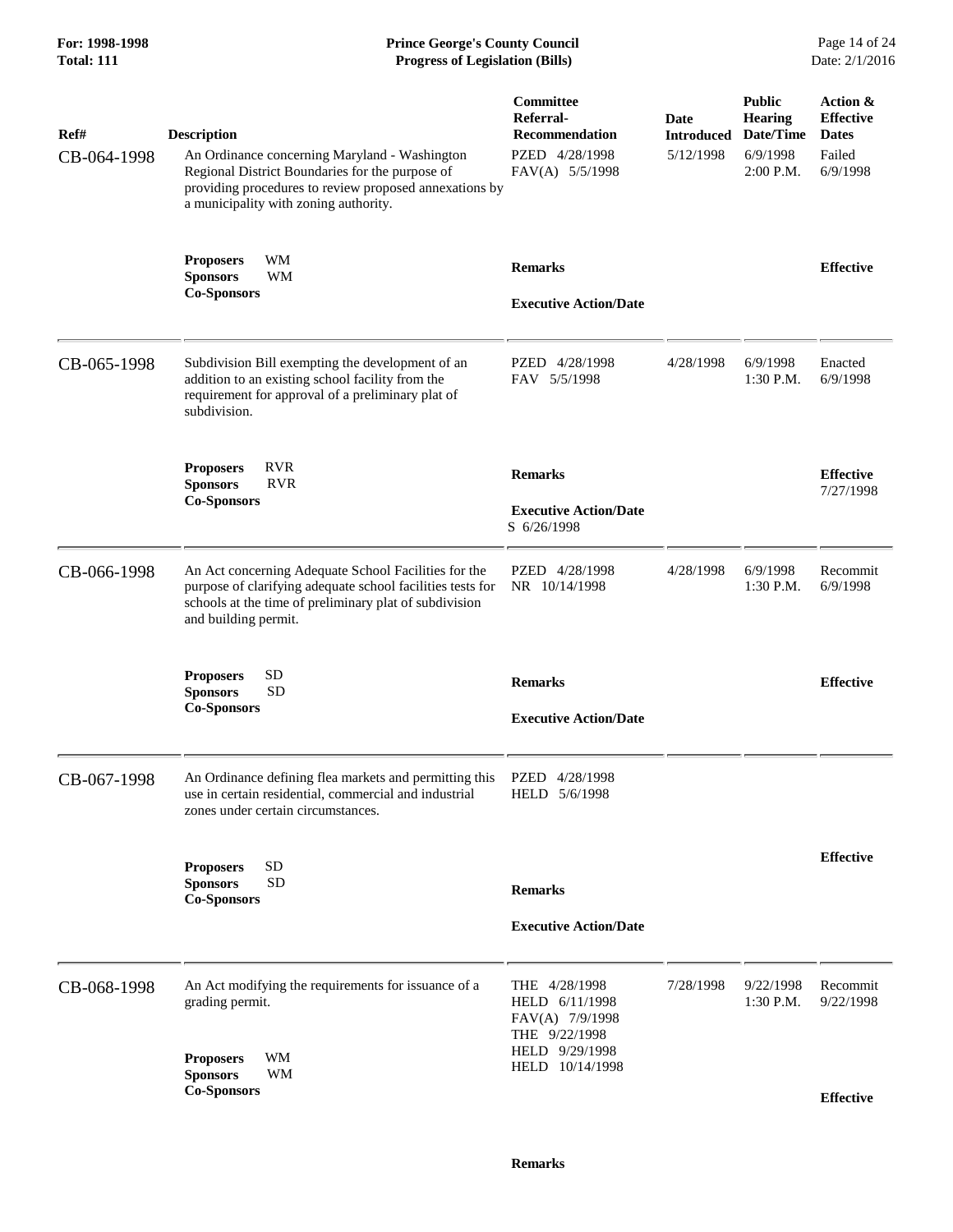### **For: 1998-1998 Prince George's County Council** Page 14 of 24<br> **Prince George's County Council** Page 14 of 24<br> **Progress of Legislation (Bills)** Date: 2/1/2016 **Total: 111 Progress of Legislation (Bills)**

| Ref#<br>CB-064-1998 | <b>Description</b><br>An Ordinance concerning Maryland - Washington<br>Regional District Boundaries for the purpose of<br>providing procedures to review proposed annexations by<br>a municipality with zoning authority. | Committee<br>Referral-<br><b>Recommendation</b><br>PZED 4/28/1998<br>FAV(A) 5/5/1998 | Date<br><b>Introduced</b><br>5/12/1998 | <b>Public</b><br><b>Hearing</b><br>Date/Time<br>6/9/1998<br>2:00 P.M. | Action &<br><b>Effective</b><br><b>Dates</b><br>Failed<br>6/9/1998 |
|---------------------|---------------------------------------------------------------------------------------------------------------------------------------------------------------------------------------------------------------------------|--------------------------------------------------------------------------------------|----------------------------------------|-----------------------------------------------------------------------|--------------------------------------------------------------------|
|                     | <b>WM</b><br><b>Proposers</b><br><b>Sponsors</b><br>WM<br><b>Co-Sponsors</b>                                                                                                                                              | <b>Remarks</b><br><b>Executive Action/Date</b>                                       |                                        |                                                                       | <b>Effective</b>                                                   |
| CB-065-1998         | Subdivision Bill exempting the development of an<br>addition to an existing school facility from the<br>requirement for approval of a preliminary plat of<br>subdivision.                                                 | PZED 4/28/1998<br>FAV 5/5/1998                                                       | 4/28/1998                              | 6/9/1998<br>1:30 P.M.                                                 | Enacted<br>6/9/1998                                                |
|                     | <b>RVR</b><br><b>Proposers</b><br><b>RVR</b><br><b>Sponsors</b><br><b>Co-Sponsors</b>                                                                                                                                     | <b>Remarks</b><br><b>Executive Action/Date</b><br>S 6/26/1998                        |                                        |                                                                       | <b>Effective</b><br>7/27/1998                                      |
| CB-066-1998         | An Act concerning Adequate School Facilities for the<br>purpose of clarifying adequate school facilities tests for<br>schools at the time of preliminary plat of subdivision<br>and building permit.                      | PZED 4/28/1998<br>NR 10/14/1998                                                      | 4/28/1998                              | 6/9/1998<br>1:30 P.M.                                                 | Recommit<br>6/9/1998                                               |
|                     | <b>SD</b><br><b>Proposers</b><br><b>SD</b><br><b>Sponsors</b><br><b>Co-Sponsors</b>                                                                                                                                       | <b>Remarks</b><br><b>Executive Action/Date</b>                                       |                                        |                                                                       | <b>Effective</b>                                                   |
| CB-067-1998         | An Ordinance defining flea markets and permitting this<br>use in certain residential, commercial and industrial<br>zones under certain circumstances.                                                                     | PZED 4/28/1998<br>HELD 5/6/1998                                                      |                                        |                                                                       |                                                                    |
|                     | SD<br><b>Proposers</b><br>${\rm SD}$<br><b>Sponsors</b><br><b>Co-Sponsors</b>                                                                                                                                             | <b>Remarks</b><br><b>Executive Action/Date</b>                                       |                                        |                                                                       | <b>Effective</b>                                                   |
| CB-068-1998         | An Act modifying the requirements for issuance of a<br>grading permit.                                                                                                                                                    | THE 4/28/1998<br>HELD 6/11/1998<br>FAV(A) 7/9/1998<br>THE 9/22/1998                  | 7/28/1998                              | 9/22/1998<br>1:30 P.M.                                                | Recommit<br>9/22/1998                                              |
|                     | WМ<br><b>Proposers</b><br><b>Sponsors</b><br>WM<br><b>Co-Sponsors</b>                                                                                                                                                     | HELD 9/29/1998<br>HELD 10/14/1998                                                    |                                        |                                                                       | <b>Effective</b>                                                   |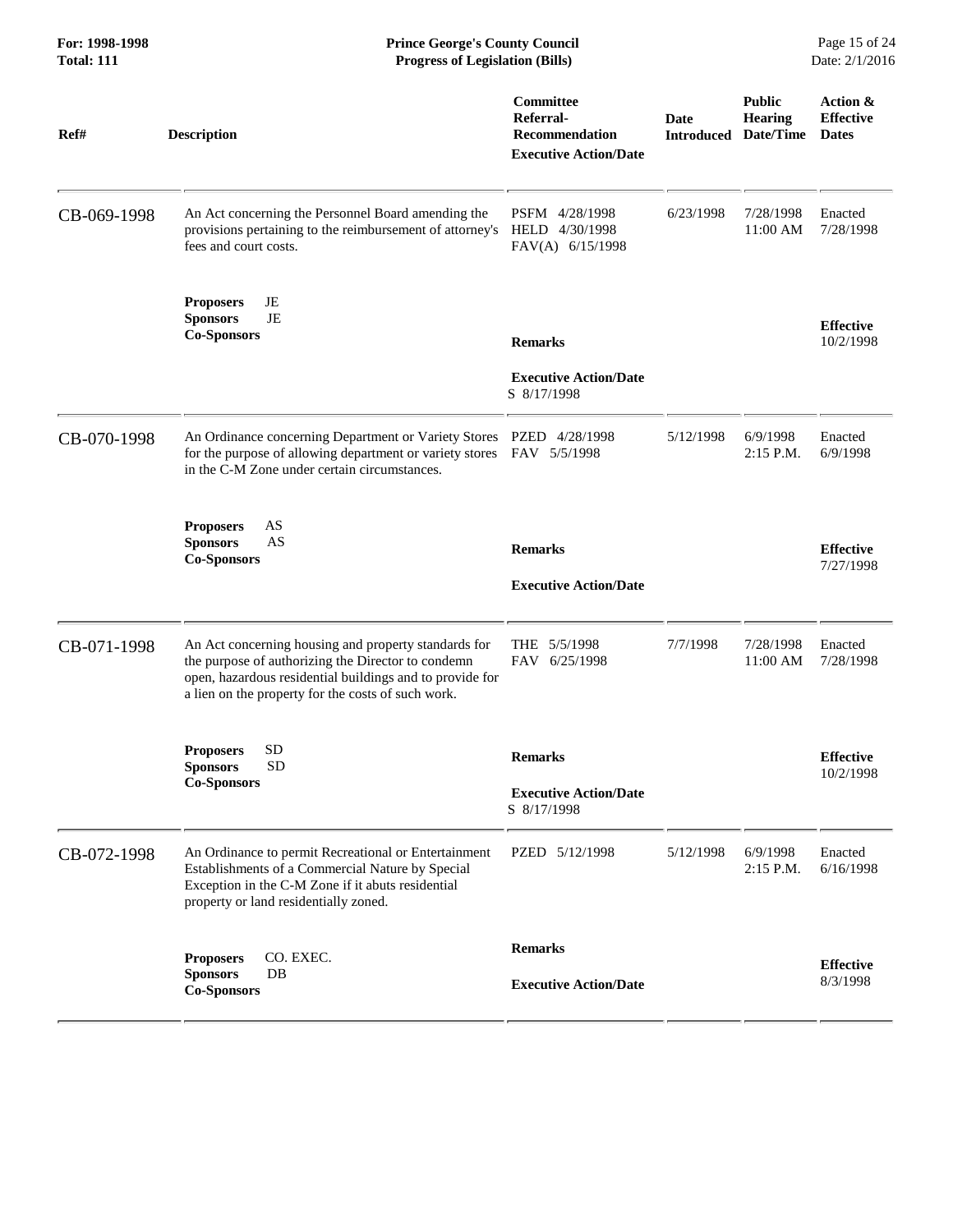| For: 1998-1998<br><b>Total: 111</b> | <b>Prince George's County Council</b><br>Page 15 of 24<br><b>Progress of Legislation (Bills)</b><br>Date: 2/1/2016                                                                                                           |                                                                                 |                           |                                              |                                              |
|-------------------------------------|------------------------------------------------------------------------------------------------------------------------------------------------------------------------------------------------------------------------------|---------------------------------------------------------------------------------|---------------------------|----------------------------------------------|----------------------------------------------|
| Ref#                                | <b>Description</b>                                                                                                                                                                                                           | Committee<br>Referral-<br><b>Recommendation</b><br><b>Executive Action/Date</b> | Date<br><b>Introduced</b> | <b>Public</b><br><b>Hearing</b><br>Date/Time | Action &<br><b>Effective</b><br><b>Dates</b> |
| CB-069-1998                         | An Act concerning the Personnel Board amending the<br>provisions pertaining to the reimbursement of attorney's<br>fees and court costs.                                                                                      | PSFM 4/28/1998<br>HELD 4/30/1998<br>FAV(A) 6/15/1998                            | 6/23/1998                 | 7/28/1998<br>11:00 AM                        | Enacted<br>7/28/1998                         |
|                                     | JE<br><b>Proposers</b><br><b>Sponsors</b><br>JE<br><b>Co-Sponsors</b>                                                                                                                                                        | <b>Remarks</b><br><b>Executive Action/Date</b><br>S 8/17/1998                   |                           |                                              | <b>Effective</b><br>10/2/1998                |
| CB-070-1998                         | An Ordinance concerning Department or Variety Stores PZED 4/28/1998<br>for the purpose of allowing department or variety stores FAV 5/5/1998<br>in the C-M Zone under certain circumstances.                                 |                                                                                 | 5/12/1998                 | 6/9/1998<br>$2:15$ P.M.                      | Enacted<br>6/9/1998                          |
|                                     | AS<br><b>Proposers</b><br><b>Sponsors</b><br>AS<br><b>Co-Sponsors</b>                                                                                                                                                        | <b>Remarks</b><br><b>Executive Action/Date</b>                                  |                           |                                              | <b>Effective</b><br>7/27/1998                |
| CB-071-1998                         | An Act concerning housing and property standards for<br>the purpose of authorizing the Director to condemn<br>open, hazardous residential buildings and to provide for<br>a lien on the property for the costs of such work. | THE 5/5/1998<br>FAV 6/25/1998                                                   | 7/7/1998                  | 7/28/1998<br>11:00 AM                        | Enacted<br>7/28/1998                         |
|                                     | <b>SD</b><br><b>Proposers</b><br><b>Sponsors</b><br><b>SD</b><br><b>Co-Sponsors</b>                                                                                                                                          | <b>Remarks</b><br><b>Executive Action/Date</b><br>S 8/17/1998                   |                           |                                              | <b>Effective</b><br>10/2/1998                |
| CB-072-1998                         | An Ordinance to permit Recreational or Entertainment<br>Establishments of a Commercial Nature by Special<br>Exception in the C-M Zone if it abuts residential<br>property or land residentially zoned.                       | PZED 5/12/1998                                                                  | 5/12/1998                 | 6/9/1998<br>2:15 P.M.                        | Enacted<br>6/16/1998                         |
|                                     | CO. EXEC.<br><b>Proposers</b><br><b>Sponsors</b><br>DB<br><b>Co-Sponsors</b>                                                                                                                                                 | <b>Remarks</b><br><b>Executive Action/Date</b>                                  |                           |                                              | <b>Effective</b><br>8/3/1998                 |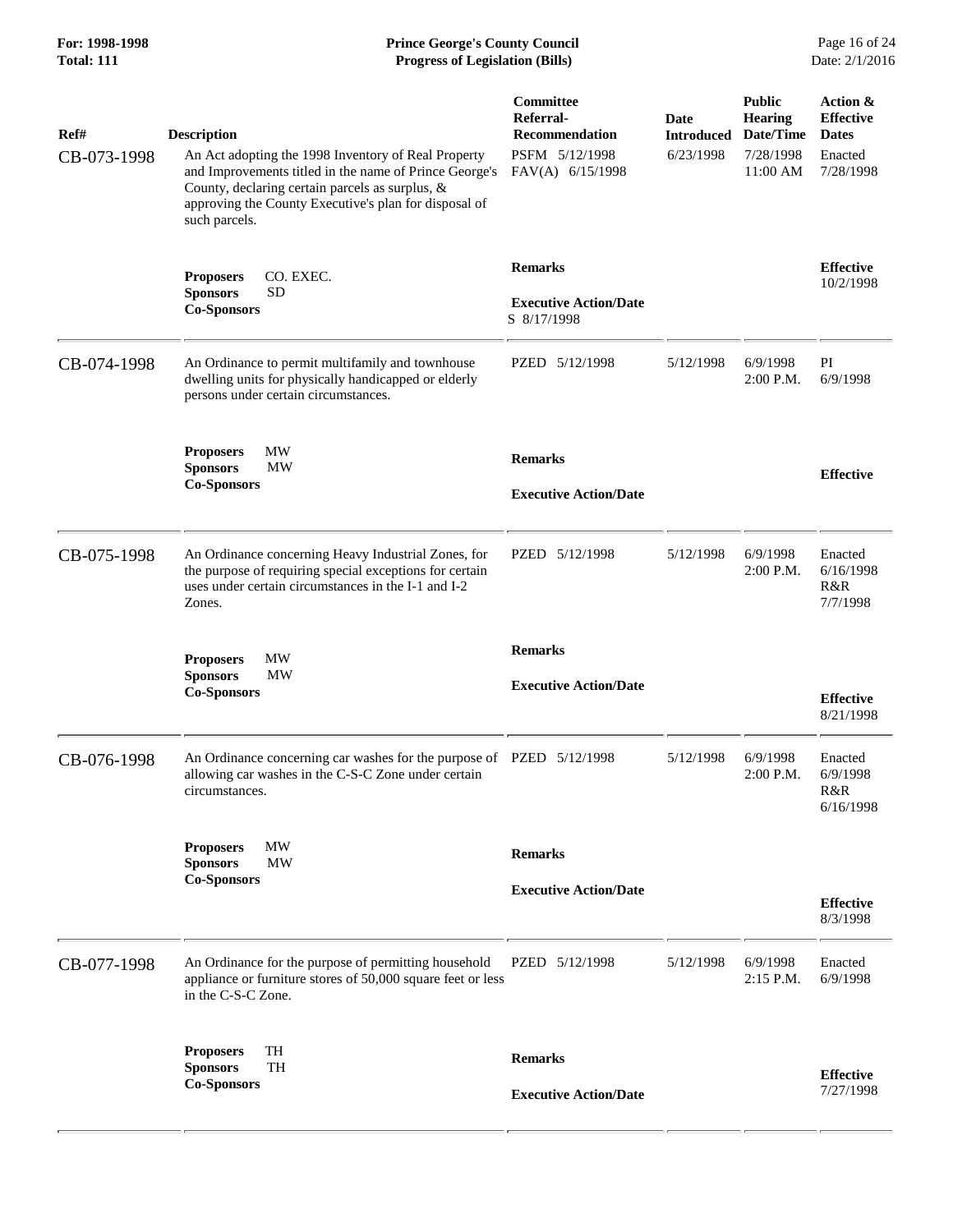# **For: 1998-1998 Prince George's County Council** Page 16 of 24<br> **Prince George's County Council** Page 16 of 24<br> **Progress of Legislation (Bills)** Date: 2/1/2016 **Total: 111 Progress of Legislation (Bills)**

| Ref#        | <b>Description</b>                                                                                                                                                                                                                         | Committee<br>Referral-<br><b>Recommendation</b>               | Date<br><b>Introduced</b> | <b>Public</b><br><b>Hearing</b><br>Date/Time | Action &<br><b>Effective</b><br><b>Dates</b> |
|-------------|--------------------------------------------------------------------------------------------------------------------------------------------------------------------------------------------------------------------------------------------|---------------------------------------------------------------|---------------------------|----------------------------------------------|----------------------------------------------|
| CB-073-1998 | An Act adopting the 1998 Inventory of Real Property<br>and Improvements titled in the name of Prince George's<br>County, declaring certain parcels as surplus, &<br>approving the County Executive's plan for disposal of<br>such parcels. | PSFM 5/12/1998<br>FAV(A) 6/15/1998                            | 6/23/1998                 | 7/28/1998<br>11:00 AM                        | Enacted<br>7/28/1998                         |
|             | CO. EXEC.<br><b>Proposers</b><br><b>SD</b><br><b>Sponsors</b><br><b>Co-Sponsors</b>                                                                                                                                                        | <b>Remarks</b><br><b>Executive Action/Date</b><br>S 8/17/1998 |                           |                                              | <b>Effective</b><br>10/2/1998                |
| CB-074-1998 | An Ordinance to permit multifamily and townhouse<br>dwelling units for physically handicapped or elderly<br>persons under certain circumstances.                                                                                           | PZED 5/12/1998                                                | 5/12/1998                 | 6/9/1998<br>2:00 P.M.                        | PI<br>6/9/1998                               |
|             | MW<br><b>Proposers</b><br><b>Sponsors</b><br><b>MW</b><br><b>Co-Sponsors</b>                                                                                                                                                               | <b>Remarks</b><br><b>Executive Action/Date</b>                |                           |                                              | <b>Effective</b>                             |
| CB-075-1998 | An Ordinance concerning Heavy Industrial Zones, for<br>the purpose of requiring special exceptions for certain<br>uses under certain circumstances in the I-1 and I-2<br>Zones.                                                            | PZED 5/12/1998                                                | 5/12/1998                 | 6/9/1998<br>$2:00$ P.M.                      | Enacted<br>6/16/1998<br>R&R<br>7/7/1998      |
|             | MW<br><b>Proposers</b><br><b>Sponsors</b><br>MW<br><b>Co-Sponsors</b>                                                                                                                                                                      | <b>Remarks</b><br><b>Executive Action/Date</b>                |                           |                                              | <b>Effective</b><br>8/21/1998                |
| CB-076-1998 | An Ordinance concerning car washes for the purpose of PZED 5/12/1998<br>allowing car washes in the C-S-C Zone under certain<br>circumstances.                                                                                              |                                                               | 5/12/1998                 | 6/9/1998<br>2:00 P.M.                        | Enacted<br>6/9/1998<br>R&R<br>6/16/1998      |
|             | MW<br><b>Proposers</b><br><b>MW</b><br><b>Sponsors</b><br><b>Co-Sponsors</b>                                                                                                                                                               | <b>Remarks</b><br><b>Executive Action/Date</b>                |                           |                                              | <b>Effective</b><br>8/3/1998                 |
| CB-077-1998 | An Ordinance for the purpose of permitting household<br>appliance or furniture stores of 50,000 square feet or less<br>in the C-S-C Zone.                                                                                                  | PZED 5/12/1998                                                | 5/12/1998                 | 6/9/1998<br>2:15 P.M.                        | Enacted<br>6/9/1998                          |
|             | TH<br><b>Proposers</b><br>TH<br><b>Sponsors</b><br><b>Co-Sponsors</b>                                                                                                                                                                      | <b>Remarks</b><br><b>Executive Action/Date</b>                |                           |                                              | <b>Effective</b><br>7/27/1998                |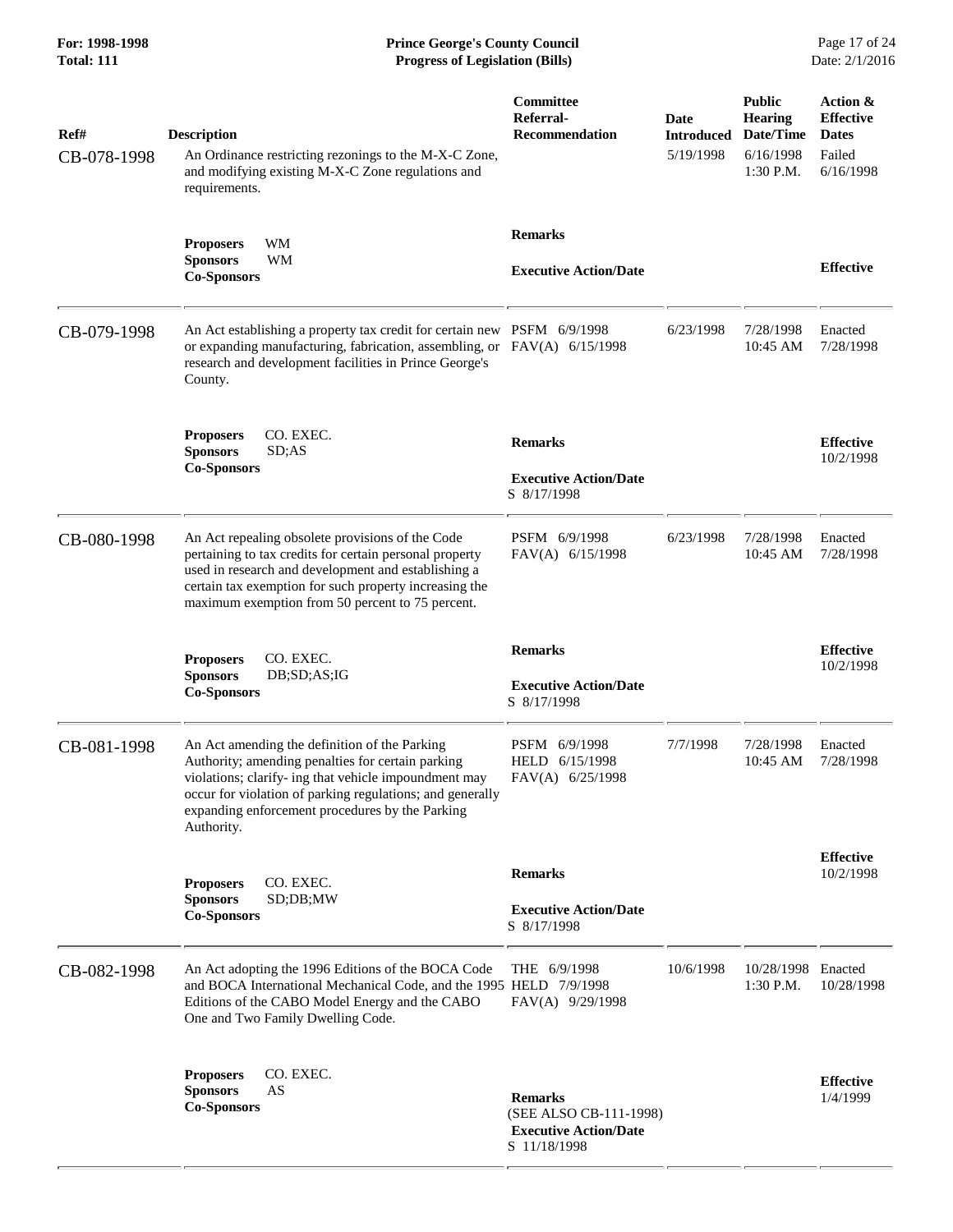| Ref#<br>CB-078-1998 | <b>Description</b><br>An Ordinance restricting rezonings to the M-X-C Zone,<br>and modifying existing M-X-C Zone regulations and<br>requirements.                                                                                                                                         | Committee<br>Referral-<br><b>Recommendation</b>                                          | Date<br><b>Introduced</b><br>5/19/1998 | <b>Public</b><br><b>Hearing</b><br>Date/Time<br>6/16/1998<br>1:30 P.M. | <b>Action &amp;</b><br><b>Effective</b><br><b>Dates</b><br>Failed<br>6/16/1998 |
|---------------------|-------------------------------------------------------------------------------------------------------------------------------------------------------------------------------------------------------------------------------------------------------------------------------------------|------------------------------------------------------------------------------------------|----------------------------------------|------------------------------------------------------------------------|--------------------------------------------------------------------------------|
|                     | <b>Proposers</b><br>WМ<br>WM<br><b>Sponsors</b><br><b>Co-Sponsors</b>                                                                                                                                                                                                                     | <b>Remarks</b><br><b>Executive Action/Date</b>                                           |                                        |                                                                        | <b>Effective</b>                                                               |
| CB-079-1998         | An Act establishing a property tax credit for certain new PSFM 6/9/1998<br>or expanding manufacturing, fabrication, assembling, or FAV(A) 6/15/1998<br>research and development facilities in Prince George's<br>County.                                                                  |                                                                                          | 6/23/1998                              | 7/28/1998<br>10:45 AM                                                  | Enacted<br>7/28/1998                                                           |
|                     | <b>Proposers</b><br>CO. EXEC.<br><b>Sponsors</b><br>SD; AS<br><b>Co-Sponsors</b>                                                                                                                                                                                                          | <b>Remarks</b><br><b>Executive Action/Date</b><br>S 8/17/1998                            |                                        |                                                                        | <b>Effective</b><br>10/2/1998                                                  |
| CB-080-1998         | An Act repealing obsolete provisions of the Code<br>pertaining to tax credits for certain personal property<br>used in research and development and establishing a<br>certain tax exemption for such property increasing the<br>maximum exemption from 50 percent to 75 percent.          | PSFM 6/9/1998<br>FAV(A) 6/15/1998                                                        | 6/23/1998                              | 7/28/1998<br>10:45 AM                                                  | Enacted<br>7/28/1998                                                           |
|                     | CO. EXEC.<br><b>Proposers</b><br>DB;SD;AS;IG<br><b>Sponsors</b><br><b>Co-Sponsors</b>                                                                                                                                                                                                     | <b>Remarks</b><br><b>Executive Action/Date</b><br>S 8/17/1998                            |                                        |                                                                        | <b>Effective</b><br>10/2/1998                                                  |
| CB-081-1998         | An Act amending the definition of the Parking<br>Authority; amending penalties for certain parking<br>violations; clarify- ing that vehicle impoundment may<br>occur for violation of parking regulations; and generally<br>expanding enforcement procedures by the Parking<br>Authority. | PSFM 6/9/1998<br>HELD 6/15/1998<br>FAV(A) 6/25/1998                                      | 7/7/1998                               | 7/28/1998<br>10:45 AM                                                  | Enacted<br>7/28/1998                                                           |
|                     | CO. EXEC.<br><b>Proposers</b><br><b>Sponsors</b><br>SD;DB;MW<br><b>Co-Sponsors</b>                                                                                                                                                                                                        | <b>Remarks</b><br><b>Executive Action/Date</b><br>S 8/17/1998                            |                                        |                                                                        | <b>Effective</b><br>10/2/1998                                                  |
| CB-082-1998         | An Act adopting the 1996 Editions of the BOCA Code<br>and BOCA International Mechanical Code, and the 1995 HELD 7/9/1998<br>Editions of the CABO Model Energy and the CABO<br>One and Two Family Dwelling Code.                                                                           | THE 6/9/1998<br>FAV(A) 9/29/1998                                                         | 10/6/1998                              | 10/28/1998<br>1:30 P.M.                                                | Enacted<br>10/28/1998                                                          |
|                     | <b>Proposers</b><br>CO. EXEC.<br>AS<br><b>Sponsors</b><br><b>Co-Sponsors</b>                                                                                                                                                                                                              | <b>Remarks</b><br>(SEE ALSO CB-111-1998)<br><b>Executive Action/Date</b><br>S 11/18/1998 |                                        |                                                                        | <b>Effective</b><br>1/4/1999                                                   |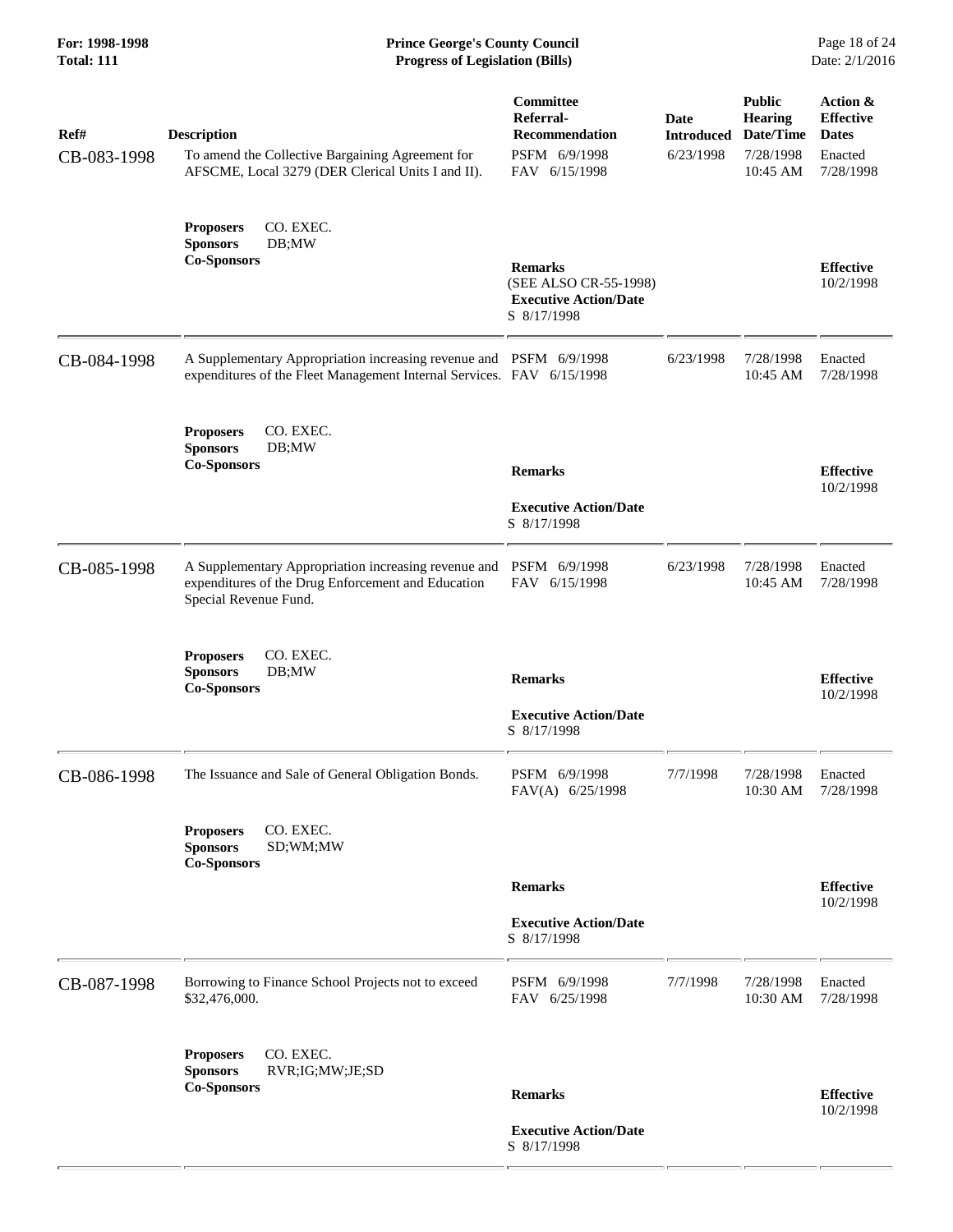| Ref#<br>CB-083-1998 | <b>Description</b><br>To amend the Collective Bargaining Agreement for<br>AFSCME, Local 3279 (DER Clerical Units I and II).                 | Committee<br>Referral-<br><b>Recommendation</b><br>PSFM 6/9/1998<br>FAV 6/15/1998      | <b>Date</b><br><b>Introduced</b><br>6/23/1998 | <b>Public</b><br><b>Hearing</b><br>Date/Time<br>7/28/1998<br>10:45 AM | Action &<br><b>Effective</b><br><b>Dates</b><br>Enacted<br>7/28/1998 |
|---------------------|---------------------------------------------------------------------------------------------------------------------------------------------|----------------------------------------------------------------------------------------|-----------------------------------------------|-----------------------------------------------------------------------|----------------------------------------------------------------------|
|                     | CO. EXEC.<br><b>Proposers</b><br><b>Sponsors</b><br>DB;MW<br><b>Co-Sponsors</b>                                                             | <b>Remarks</b><br>(SEE ALSO CR-55-1998)<br><b>Executive Action/Date</b><br>S 8/17/1998 |                                               |                                                                       | <b>Effective</b><br>10/2/1998                                        |
| CB-084-1998         | A Supplementary Appropriation increasing revenue and PSFM 6/9/1998<br>expenditures of the Fleet Management Internal Services. FAV 6/15/1998 |                                                                                        | 6/23/1998                                     | 7/28/1998<br>10:45 AM                                                 | Enacted<br>7/28/1998                                                 |
|                     | <b>Proposers</b><br>CO. EXEC.<br><b>Sponsors</b><br>DB;MW<br><b>Co-Sponsors</b>                                                             | <b>Remarks</b><br><b>Executive Action/Date</b><br>S 8/17/1998                          |                                               |                                                                       | <b>Effective</b><br>10/2/1998                                        |
| CB-085-1998         | A Supplementary Appropriation increasing revenue and<br>expenditures of the Drug Enforcement and Education<br>Special Revenue Fund.         | PSFM 6/9/1998<br>FAV 6/15/1998                                                         | 6/23/1998                                     | 7/28/1998<br>10:45 AM                                                 | Enacted<br>7/28/1998                                                 |
|                     | <b>Proposers</b><br>CO. EXEC.<br><b>Sponsors</b><br>DB;MW<br><b>Co-Sponsors</b>                                                             | <b>Remarks</b><br><b>Executive Action/Date</b><br>S 8/17/1998                          |                                               |                                                                       | <b>Effective</b><br>10/2/1998                                        |
| CB-086-1998         | The Issuance and Sale of General Obligation Bonds.                                                                                          | PSFM 6/9/1998<br>FAV(A) 6/25/1998                                                      | 7/7/1998                                      | 7/28/1998<br>10:30 AM                                                 | Enacted<br>7/28/1998                                                 |
|                     | CO. EXEC.<br><b>Proposers</b><br><b>Sponsors</b><br>SD;WM;MW<br><b>Co-Sponsors</b>                                                          |                                                                                        |                                               |                                                                       |                                                                      |
|                     |                                                                                                                                             | <b>Remarks</b>                                                                         |                                               |                                                                       | <b>Effective</b>                                                     |
|                     |                                                                                                                                             | <b>Executive Action/Date</b><br>S 8/17/1998                                            |                                               |                                                                       | 10/2/1998                                                            |
| CB-087-1998         | Borrowing to Finance School Projects not to exceed<br>\$32,476,000.                                                                         | PSFM 6/9/1998<br>FAV 6/25/1998                                                         | 7/7/1998                                      | 7/28/1998<br>10:30 AM                                                 | Enacted<br>7/28/1998                                                 |
|                     | CO. EXEC.<br><b>Proposers</b><br><b>Sponsors</b><br>RVR;IG;MW;JE;SD<br><b>Co-Sponsors</b>                                                   | <b>Remarks</b><br><b>Executive Action/Date</b><br>S 8/17/1998                          |                                               |                                                                       | <b>Effective</b><br>10/2/1998                                        |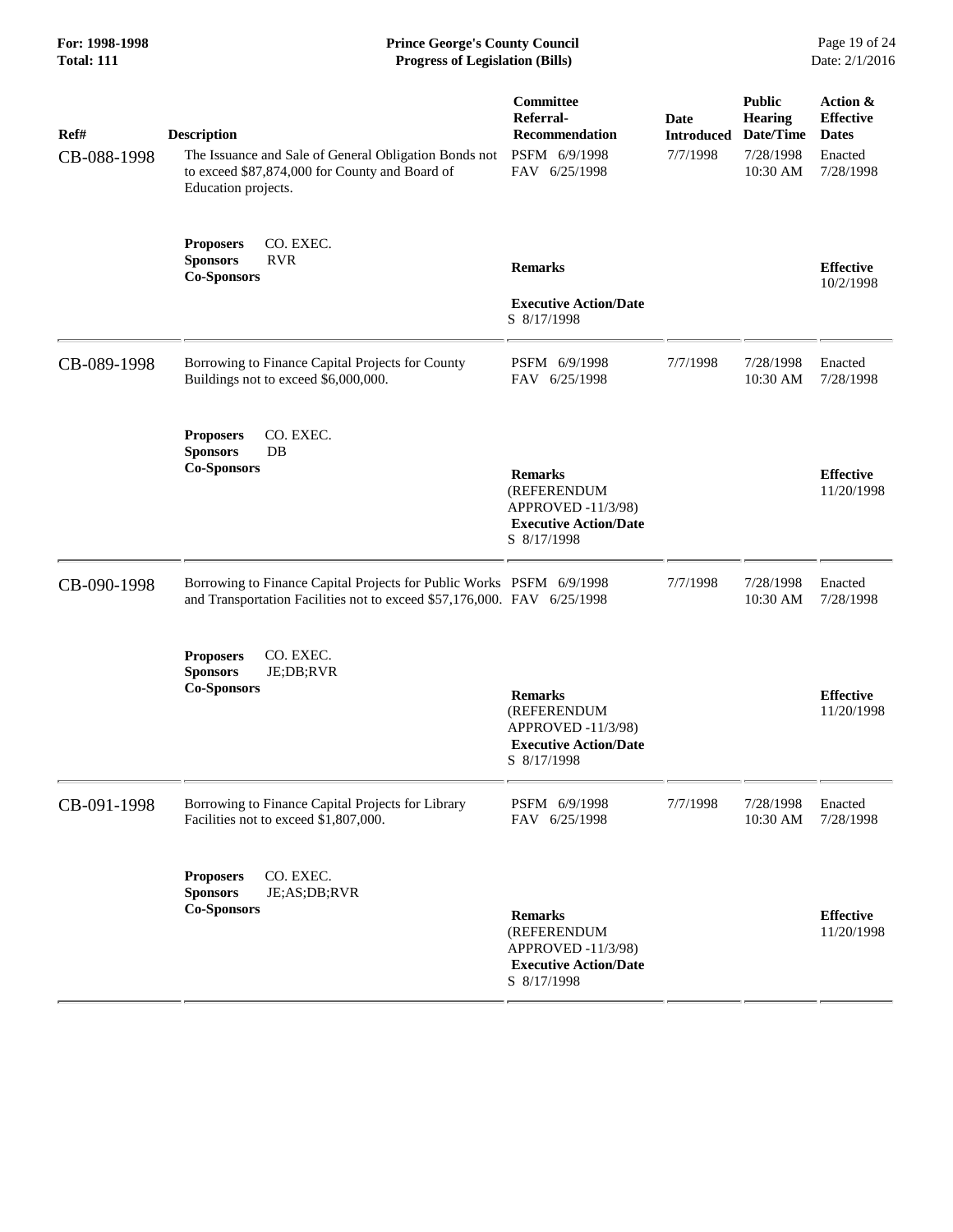**For: 1998-1998 Prince George's County Council** Page 19 of 24<br> **Prince George's County Council** Page 19 of 24<br> **Progress of Legislation (Bills)** Date: 2/1/2016 **Total: 111 Progress of Legislation (Bills)** 

| Ref#<br>CB-088-1998 | <b>Description</b><br>The Issuance and Sale of General Obligation Bonds not<br>to exceed \$87,874,000 for County and Board of<br>Education projects. | Committee<br>Referral-<br><b>Recommendation</b><br>PSFM 6/9/1998<br>FAV 6/25/1998                  | <b>Date</b><br><b>Introduced</b><br>7/7/1998 | <b>Public</b><br><b>Hearing</b><br>Date/Time<br>7/28/1998<br>10:30 AM | Action &<br><b>Effective</b><br><b>Dates</b><br>Enacted<br>7/28/1998 |
|---------------------|------------------------------------------------------------------------------------------------------------------------------------------------------|----------------------------------------------------------------------------------------------------|----------------------------------------------|-----------------------------------------------------------------------|----------------------------------------------------------------------|
|                     | CO. EXEC.<br><b>Proposers</b><br><b>Sponsors</b><br><b>RVR</b><br><b>Co-Sponsors</b>                                                                 | <b>Remarks</b><br><b>Executive Action/Date</b><br>S 8/17/1998                                      |                                              |                                                                       | <b>Effective</b><br>10/2/1998                                        |
| CB-089-1998         | Borrowing to Finance Capital Projects for County<br>Buildings not to exceed \$6,000,000.                                                             | PSFM 6/9/1998<br>FAV 6/25/1998                                                                     | 7/7/1998                                     | 7/28/1998<br>10:30 AM                                                 | Enacted<br>7/28/1998                                                 |
|                     | CO. EXEC.<br><b>Proposers</b><br><b>Sponsors</b><br>$DB$<br><b>Co-Sponsors</b>                                                                       | <b>Remarks</b><br>(REFERENDUM<br>APPROVED -11/3/98)<br><b>Executive Action/Date</b><br>S 8/17/1998 |                                              |                                                                       | <b>Effective</b><br>11/20/1998                                       |
| CB-090-1998         | Borrowing to Finance Capital Projects for Public Works PSFM 6/9/1998<br>and Transportation Facilities not to exceed \$57,176,000. FAV 6/25/1998      |                                                                                                    | 7/7/1998                                     | 7/28/1998<br>10:30 AM                                                 | Enacted<br>7/28/1998                                                 |
|                     | CO. EXEC.<br><b>Proposers</b><br><b>Sponsors</b><br>JE;DB;RVR<br><b>Co-Sponsors</b>                                                                  | <b>Remarks</b><br>(REFERENDUM<br>APPROVED -11/3/98)<br><b>Executive Action/Date</b><br>S 8/17/1998 |                                              |                                                                       | <b>Effective</b><br>11/20/1998                                       |
| CB-091-1998         | Borrowing to Finance Capital Projects for Library<br>Facilities not to exceed \$1,807,000.                                                           | PSFM 6/9/1998<br>FAV 6/25/1998                                                                     | 7/7/1998                                     | 7/28/1998<br>10:30 AM                                                 | Enacted<br>7/28/1998                                                 |
|                     | CO. EXEC.<br><b>Proposers</b><br><b>Sponsors</b><br>JE;AS;DB;RVR<br><b>Co-Sponsors</b>                                                               | <b>Remarks</b><br>(REFERENDUM<br>APPROVED -11/3/98)<br><b>Executive Action/Date</b><br>S 8/17/1998 |                                              |                                                                       | <b>Effective</b><br>11/20/1998                                       |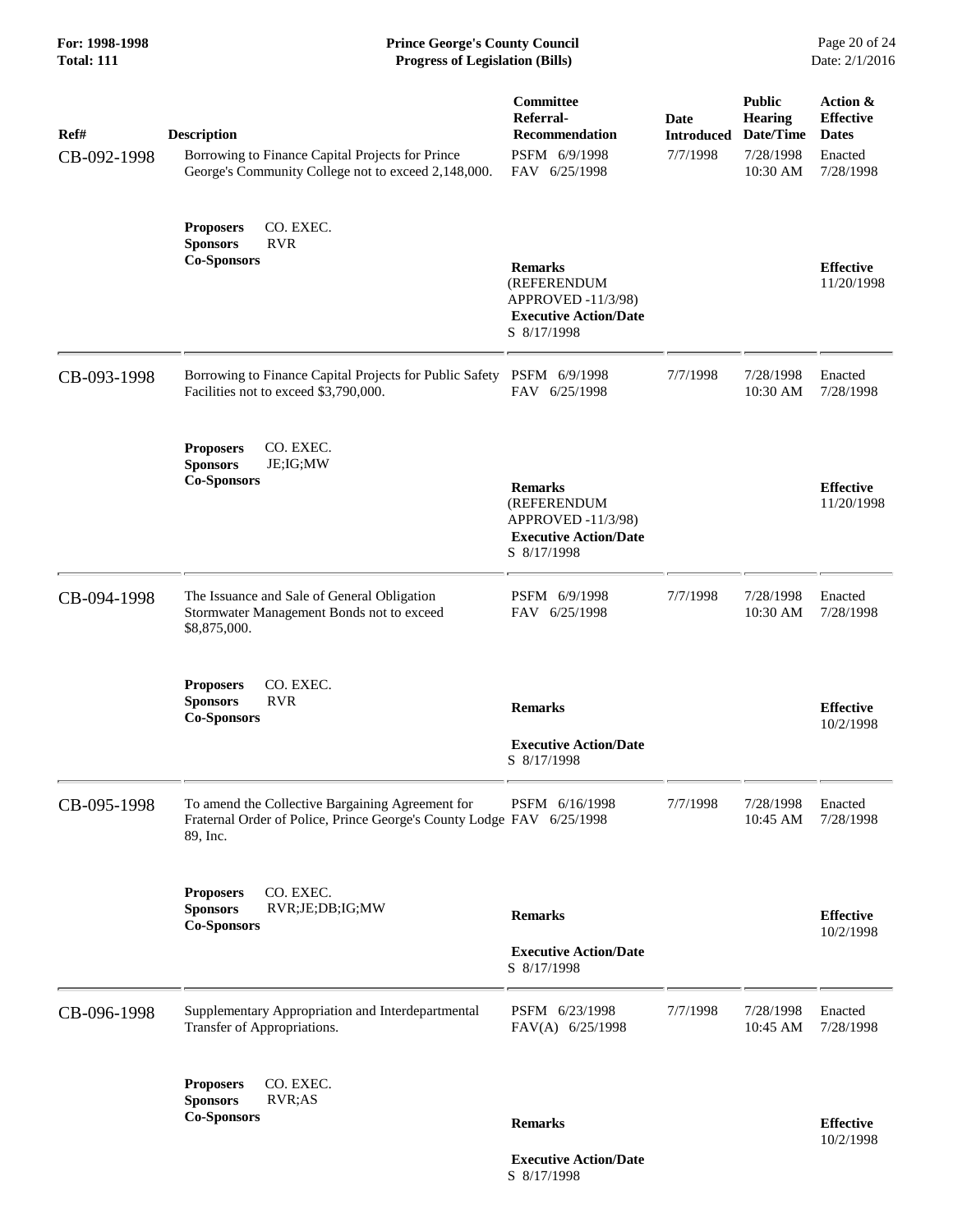| Ref#<br>CB-092-1998 | <b>Description</b><br>Borrowing to Finance Capital Projects for Prince<br>George's Community College not to exceed 2,148,000.         | Committee<br>Referral-<br><b>Recommendation</b><br>PSFM 6/9/1998<br>FAV 6/25/1998                  | Date<br><b>Introduced</b><br>7/7/1998 | <b>Public</b><br><b>Hearing</b><br>Date/Time<br>7/28/1998<br>10:30 AM | Action &<br><b>Effective</b><br><b>Dates</b><br>Enacted<br>7/28/1998 |
|---------------------|---------------------------------------------------------------------------------------------------------------------------------------|----------------------------------------------------------------------------------------------------|---------------------------------------|-----------------------------------------------------------------------|----------------------------------------------------------------------|
|                     | CO. EXEC.<br><b>Proposers</b><br><b>Sponsors</b><br><b>RVR</b><br><b>Co-Sponsors</b>                                                  | <b>Remarks</b><br>(REFERENDUM<br>APPROVED -11/3/98)<br><b>Executive Action/Date</b><br>S 8/17/1998 |                                       |                                                                       | <b>Effective</b><br>11/20/1998                                       |
| CB-093-1998         | Borrowing to Finance Capital Projects for Public Safety PSFM 6/9/1998<br>Facilities not to exceed \$3,790,000.                        | FAV 6/25/1998                                                                                      | 7/7/1998                              | 7/28/1998<br>10:30 AM                                                 | Enacted<br>7/28/1998                                                 |
|                     | CO. EXEC.<br><b>Proposers</b><br><b>Sponsors</b><br>JE;IG;MW<br><b>Co-Sponsors</b>                                                    | <b>Remarks</b><br>(REFERENDUM<br>APPROVED -11/3/98)<br><b>Executive Action/Date</b><br>S 8/17/1998 |                                       |                                                                       | <b>Effective</b><br>11/20/1998                                       |
| CB-094-1998         | The Issuance and Sale of General Obligation<br>Stormwater Management Bonds not to exceed<br>\$8,875,000.                              | PSFM 6/9/1998<br>FAV 6/25/1998                                                                     | 7/7/1998                              | 7/28/1998<br>10:30 AM                                                 | Enacted<br>7/28/1998                                                 |
|                     | CO. EXEC.<br><b>Proposers</b><br><b>RVR</b><br><b>Sponsors</b><br><b>Co-Sponsors</b>                                                  | <b>Remarks</b><br><b>Executive Action/Date</b><br>S 8/17/1998                                      |                                       |                                                                       | <b>Effective</b><br>10/2/1998                                        |
| CB-095-1998         | To amend the Collective Bargaining Agreement for<br>Fraternal Order of Police, Prince George's County Lodge FAV 6/25/1998<br>89, Inc. | PSFM 6/16/1998                                                                                     | 7/7/1998                              | 7/28/1998<br>10:45 AM                                                 | Enacted<br>7/28/1998                                                 |
|                     | CO. EXEC.<br><b>Proposers</b><br><b>Sponsors</b><br>RVR;JE;DB;IG;MW<br><b>Co-Sponsors</b>                                             | <b>Remarks</b><br><b>Executive Action/Date</b><br>S 8/17/1998                                      |                                       |                                                                       | <b>Effective</b><br>10/2/1998                                        |
| CB-096-1998         | Supplementary Appropriation and Interdepartmental<br>Transfer of Appropriations.                                                      | PSFM 6/23/1998<br>FAV(A) 6/25/1998                                                                 | 7/7/1998                              | 7/28/1998<br>10:45 AM                                                 | Enacted<br>7/28/1998                                                 |
|                     | CO. EXEC.<br><b>Proposers</b><br>RVR;AS<br><b>Sponsors</b><br><b>Co-Sponsors</b>                                                      | <b>Remarks</b>                                                                                     |                                       |                                                                       | <b>Effective</b><br>10/2/1998                                        |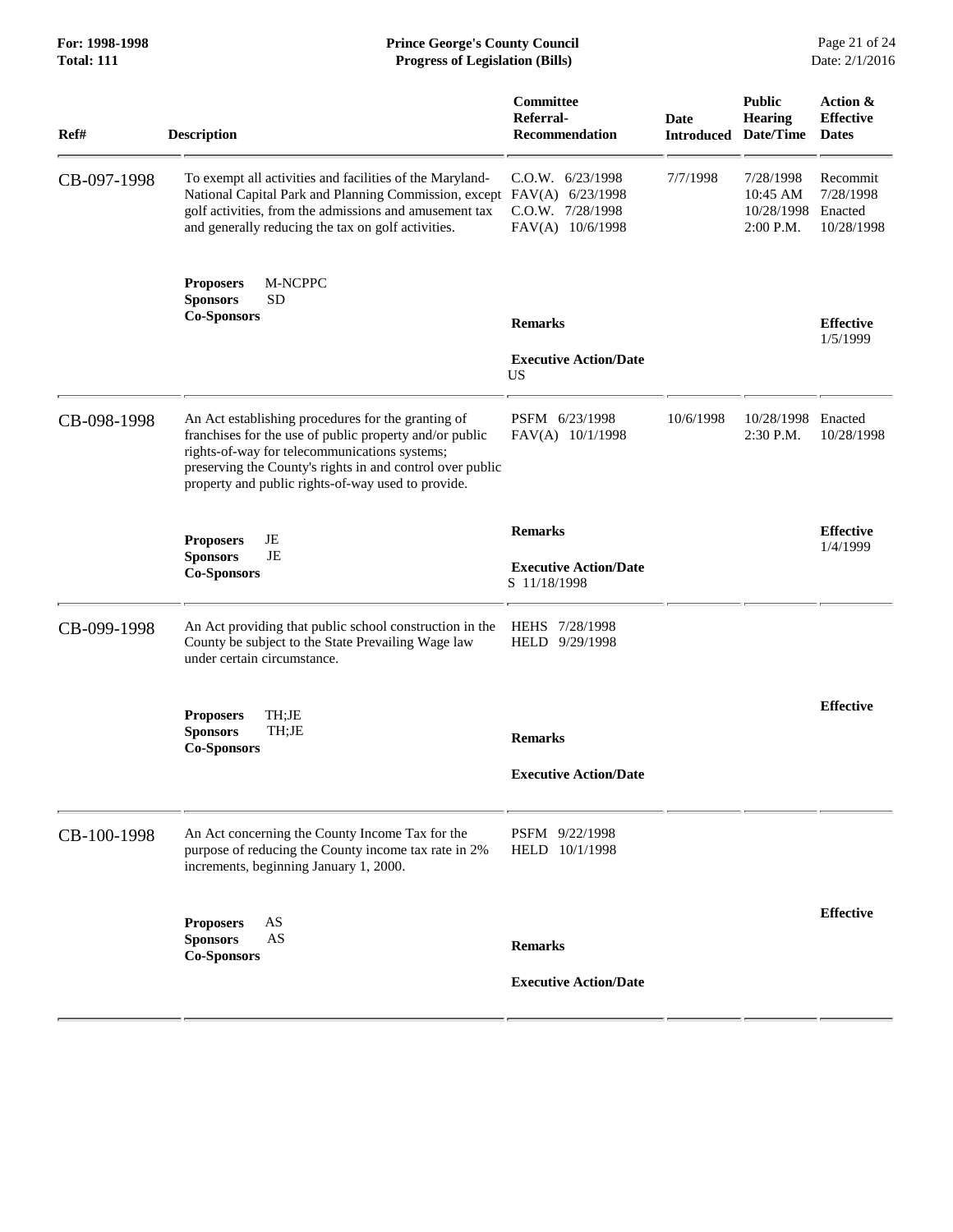| <b>Progress of Legislation (Bills)</b>                                                                                                                                                                                                                                            |                                                                |                                                                        |                                                  |                                                |
|-----------------------------------------------------------------------------------------------------------------------------------------------------------------------------------------------------------------------------------------------------------------------------------|----------------------------------------------------------------|------------------------------------------------------------------------|--------------------------------------------------|------------------------------------------------|
| <b>Description</b>                                                                                                                                                                                                                                                                | Committee<br>Referral-<br><b>Recommendation</b>                | <b>Date</b>                                                            | <b>Public</b><br><b>Hearing</b>                  | Action &<br><b>Effective</b><br><b>Dates</b>   |
| To exempt all activities and facilities of the Maryland-<br>golf activities, from the admissions and amusement tax<br>and generally reducing the tax on golf activities.                                                                                                          | $C.0.W.$ 6/23/1998<br>C.O.W. 7/28/1998<br>FAV(A) 10/6/1998     | 7/7/1998                                                               | 7/28/1998<br>10:45 AM<br>10/28/1998<br>2:00 P.M. | Recommit<br>7/28/1998<br>Enacted<br>10/28/1998 |
| M-NCPPC<br><b>Proposers</b><br><b>Sponsors</b><br>SD<br><b>Co-Sponsors</b>                                                                                                                                                                                                        | <b>Remarks</b>                                                 |                                                                        |                                                  | <b>Effective</b>                               |
|                                                                                                                                                                                                                                                                                   | <b>Executive Action/Date</b><br><b>US</b>                      |                                                                        |                                                  | 1/5/1999                                       |
| An Act establishing procedures for the granting of<br>franchises for the use of public property and/or public<br>rights-of-way for telecommunications systems;<br>preserving the County's rights in and control over public<br>property and public rights-of-way used to provide. | PSFM 6/23/1998<br>FAV(A) 10/1/1998                             | 10/6/1998                                                              | 10/28/1998<br>2:30 P.M.                          | Enacted<br>10/28/1998                          |
| JE<br><b>Proposers</b><br><b>Sponsors</b><br>JE<br><b>Co-Sponsors</b>                                                                                                                                                                                                             | <b>Remarks</b><br><b>Executive Action/Date</b><br>S 11/18/1998 |                                                                        |                                                  | <b>Effective</b><br>1/4/1999                   |
| An Act providing that public school construction in the<br>County be subject to the State Prevailing Wage law<br>under certain circumstance.                                                                                                                                      | HEHS 7/28/1998<br>HELD 9/29/1998                               |                                                                        |                                                  |                                                |
| TH;JE<br><b>Proposers</b><br>TH;JE<br><b>Sponsors</b><br><b>Co-Sponsors</b>                                                                                                                                                                                                       | <b>Remarks</b><br><b>Executive Action/Date</b>                 |                                                                        |                                                  | <b>Effective</b>                               |
| An Act concerning the County Income Tax for the<br>purpose of reducing the County income tax rate in 2%<br>increments, beginning January 1, 2000.                                                                                                                                 | PSFM 9/22/1998<br>HELD 10/1/1998                               |                                                                        |                                                  |                                                |
| AS<br><b>Proposers</b><br><b>Sponsors</b><br>AS<br><b>Co-Sponsors</b>                                                                                                                                                                                                             | <b>Remarks</b>                                                 |                                                                        |                                                  | <b>Effective</b>                               |
|                                                                                                                                                                                                                                                                                   |                                                                | National Capital Park and Planning Commission, except FAV(A) 6/23/1998 |                                                  | <b>Introduced Date/Time</b>                    |

**For: 1998-1998 Prince George's County Council** Page 21 of 24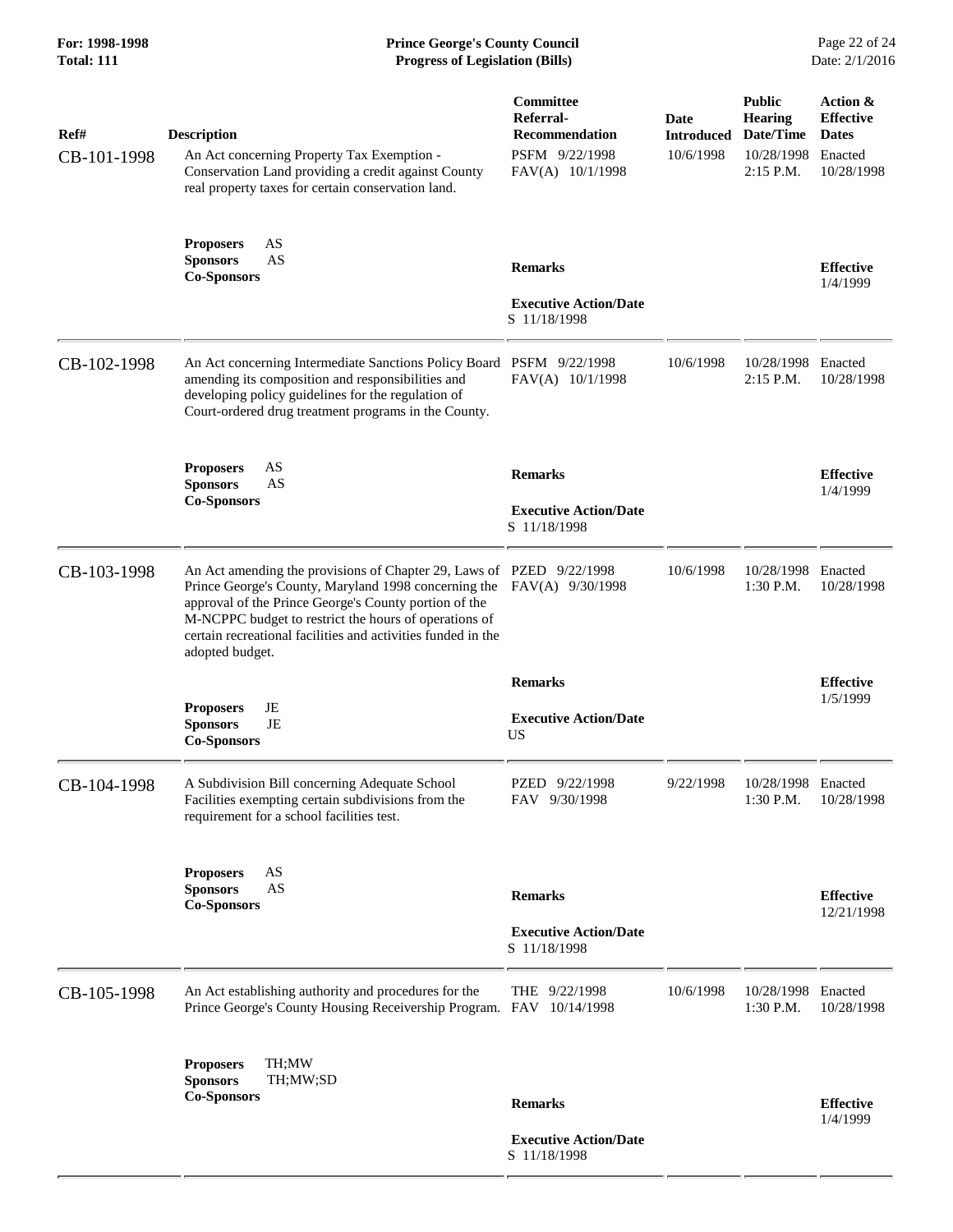# **For: 1998-1998 Prince George's County Council** Page 22 of 24<br> **Prince George's County Council** Page 22 of 24<br> **Progress of Legislation (Bills)** Date: 2/1/2016 **Total: 111 Progress of Legislation (Bills)**

| Ref#<br>CB-101-1998 | <b>Description</b><br>An Act concerning Property Tax Exemption -<br>Conservation Land providing a credit against County<br>real property taxes for certain conservation land.                                                                                                                                                                      | Committee<br>Referral-<br><b>Recommendation</b><br>PSFM 9/22/1998<br>FAV(A) 10/1/1998 | Date<br><b>Introduced</b><br>10/6/1998 | <b>Public</b><br><b>Hearing</b><br>Date/Time<br>10/28/1998<br>$2:15$ P.M. | Action &<br><b>Effective</b><br><b>Dates</b><br>Enacted<br>10/28/1998 |
|---------------------|----------------------------------------------------------------------------------------------------------------------------------------------------------------------------------------------------------------------------------------------------------------------------------------------------------------------------------------------------|---------------------------------------------------------------------------------------|----------------------------------------|---------------------------------------------------------------------------|-----------------------------------------------------------------------|
|                     | <b>Proposers</b><br>AS<br><b>Sponsors</b><br>AS<br><b>Co-Sponsors</b>                                                                                                                                                                                                                                                                              | <b>Remarks</b><br><b>Executive Action/Date</b><br>S 11/18/1998                        |                                        |                                                                           | <b>Effective</b><br>1/4/1999                                          |
| CB-102-1998         | An Act concerning Intermediate Sanctions Policy Board PSFM 9/22/1998<br>amending its composition and responsibilities and<br>developing policy guidelines for the regulation of<br>Court-ordered drug treatment programs in the County.                                                                                                            | FAV(A) 10/1/1998                                                                      | 10/6/1998                              | 10/28/1998<br>$2:15$ P.M.                                                 | Enacted<br>10/28/1998                                                 |
|                     | AS<br><b>Proposers</b><br><b>Sponsors</b><br>AS<br><b>Co-Sponsors</b>                                                                                                                                                                                                                                                                              | <b>Remarks</b><br><b>Executive Action/Date</b><br>S 11/18/1998                        |                                        |                                                                           | <b>Effective</b><br>1/4/1999                                          |
| CB-103-1998         | An Act amending the provisions of Chapter 29, Laws of PZED 9/22/1998<br>Prince George's County, Maryland 1998 concerning the FAV(A) 9/30/1998<br>approval of the Prince George's County portion of the<br>M-NCPPC budget to restrict the hours of operations of<br>certain recreational facilities and activities funded in the<br>adopted budget. |                                                                                       | 10/6/1998                              | 10/28/1998 Enacted<br>$1:30$ P.M.                                         | 10/28/1998                                                            |
|                     |                                                                                                                                                                                                                                                                                                                                                    | <b>Remarks</b>                                                                        |                                        |                                                                           | <b>Effective</b>                                                      |
|                     | JE<br><b>Proposers</b><br><b>Sponsors</b><br>JE<br><b>Co-Sponsors</b>                                                                                                                                                                                                                                                                              | <b>Executive Action/Date</b><br><b>US</b>                                             |                                        |                                                                           | 1/5/1999                                                              |
| CB-104-1998         | A Subdivision Bill concerning Adequate School<br>Facilities exempting certain subdivisions from the<br>requirement for a school facilities test.                                                                                                                                                                                                   | PZED 9/22/1998<br>FAV 9/30/1998                                                       | 9/22/1998                              | 10/28/1998<br>$1:30$ P.M.                                                 | Enacted<br>10/28/1998                                                 |
|                     | AS<br><b>Proposers</b><br><b>Sponsors</b><br>AS<br><b>Co-Sponsors</b>                                                                                                                                                                                                                                                                              | <b>Remarks</b>                                                                        |                                        |                                                                           | <b>Effective</b><br>12/21/1998                                        |
|                     |                                                                                                                                                                                                                                                                                                                                                    | <b>Executive Action/Date</b><br>S 11/18/1998                                          |                                        |                                                                           |                                                                       |
| CB-105-1998         | An Act establishing authority and procedures for the<br>Prince George's County Housing Receivership Program. FAV 10/14/1998                                                                                                                                                                                                                        | THE 9/22/1998                                                                         | 10/6/1998                              | 10/28/1998 Enacted<br>1:30 P.M.                                           | 10/28/1998                                                            |
|                     | TH;MW<br><b>Proposers</b><br><b>Sponsors</b><br>TH;MW;SD                                                                                                                                                                                                                                                                                           |                                                                                       |                                        |                                                                           |                                                                       |
|                     | <b>Co-Sponsors</b>                                                                                                                                                                                                                                                                                                                                 | <b>Remarks</b>                                                                        |                                        |                                                                           | <b>Effective</b><br>1/4/1999                                          |
|                     |                                                                                                                                                                                                                                                                                                                                                    | <b>Executive Action/Date</b><br>S 11/18/1998                                          |                                        |                                                                           |                                                                       |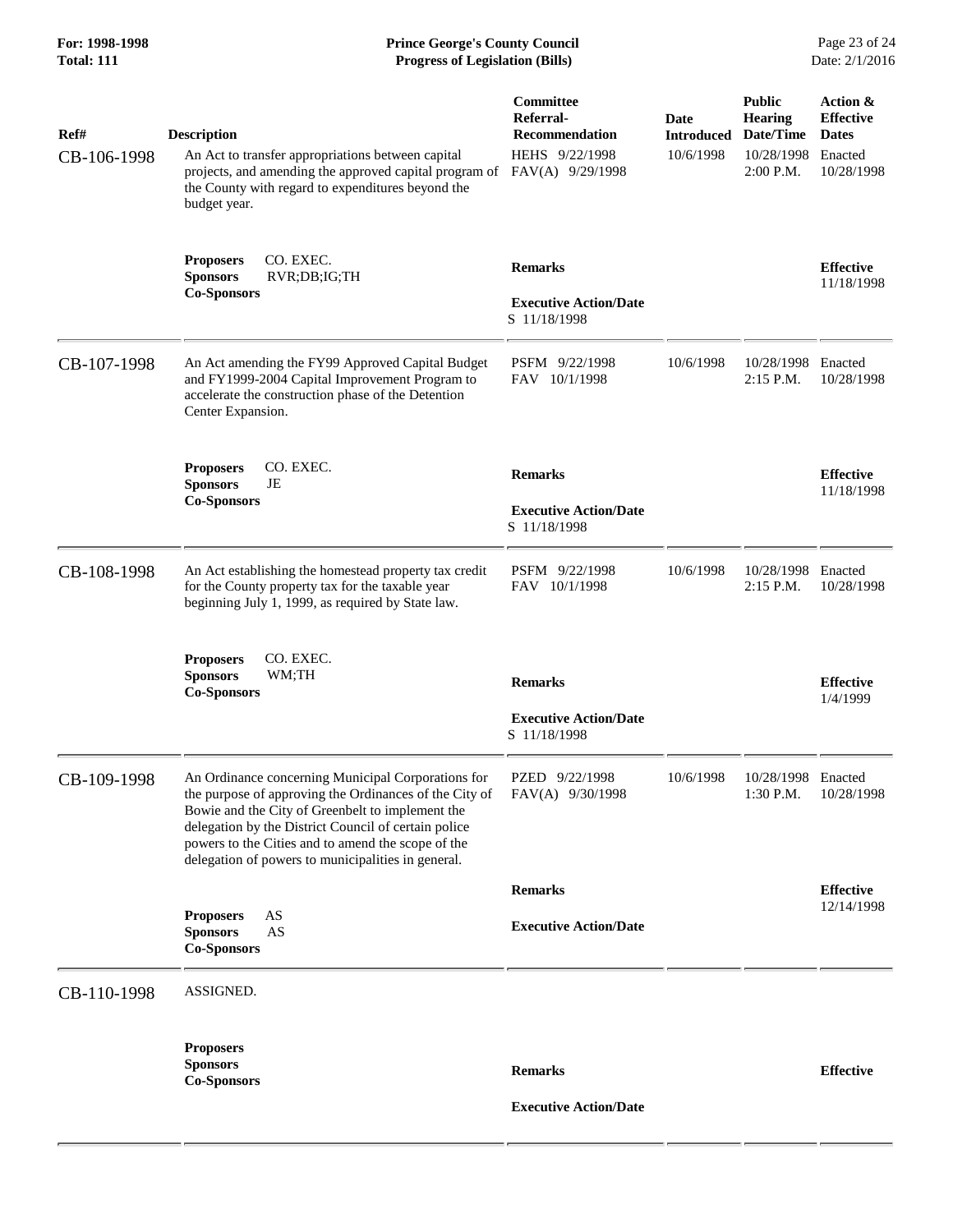# **For: 1998-1998 Prince George's County Council** Page 23 of 24<br> **Prince George's County Council** Page 23 of 24<br> **Progress of Legislation (Bills)** Date: 2/1/2016 **Total: 111 Progress of Legislation (Bills)**

| Ref#<br>CB-106-1998 | <b>Description</b><br>An Act to transfer appropriations between capital<br>projects, and amending the approved capital program of<br>the County with regard to expenditures beyond the<br>budget year.                                                                                                                               | Committee<br>Referral-<br><b>Recommendation</b><br>HEHS 9/22/1998<br>FAV(A) 9/29/1998 | <b>Date</b><br><b>Introduced</b><br>10/6/1998 | <b>Public</b><br><b>Hearing</b><br>Date/Time<br>10/28/1998<br>$2:00$ P.M. | Action &<br><b>Effective</b><br><b>Dates</b><br>Enacted<br>10/28/1998 |
|---------------------|--------------------------------------------------------------------------------------------------------------------------------------------------------------------------------------------------------------------------------------------------------------------------------------------------------------------------------------|---------------------------------------------------------------------------------------|-----------------------------------------------|---------------------------------------------------------------------------|-----------------------------------------------------------------------|
|                     | CO. EXEC.<br><b>Proposers</b><br><b>Sponsors</b><br>RVR;DB;IG;TH<br><b>Co-Sponsors</b>                                                                                                                                                                                                                                               | <b>Remarks</b><br><b>Executive Action/Date</b><br>S 11/18/1998                        |                                               |                                                                           | <b>Effective</b><br>11/18/1998                                        |
| CB-107-1998         | An Act amending the FY99 Approved Capital Budget<br>and FY1999-2004 Capital Improvement Program to<br>accelerate the construction phase of the Detention<br>Center Expansion.                                                                                                                                                        | PSFM 9/22/1998<br>FAV 10/1/1998                                                       | 10/6/1998                                     | 10/28/1998<br>2:15 P.M.                                                   | Enacted<br>10/28/1998                                                 |
|                     | CO. EXEC.<br><b>Proposers</b><br><b>Sponsors</b><br>JE<br><b>Co-Sponsors</b>                                                                                                                                                                                                                                                         | <b>Remarks</b><br><b>Executive Action/Date</b><br>S 11/18/1998                        |                                               |                                                                           | <b>Effective</b><br>11/18/1998                                        |
| CB-108-1998         | An Act establishing the homestead property tax credit<br>for the County property tax for the taxable year<br>beginning July 1, 1999, as required by State law.                                                                                                                                                                       | PSFM 9/22/1998<br>FAV 10/1/1998                                                       | 10/6/1998                                     | 10/28/1998<br>$2:15$ P.M.                                                 | Enacted<br>10/28/1998                                                 |
|                     | CO. EXEC.<br><b>Proposers</b><br><b>Sponsors</b><br>WM;TH<br><b>Co-Sponsors</b>                                                                                                                                                                                                                                                      | <b>Remarks</b><br><b>Executive Action/Date</b><br>S 11/18/1998                        |                                               |                                                                           | <b>Effective</b><br>1/4/1999                                          |
| CB-109-1998         | An Ordinance concerning Municipal Corporations for<br>the purpose of approving the Ordinances of the City of<br>Bowie and the City of Greenbelt to implement the<br>delegation by the District Council of certain police<br>powers to the Cities and to amend the scope of the<br>delegation of powers to municipalities in general. | PZED 9/22/1998<br>FAV(A) 9/30/1998                                                    | 10/6/1998                                     | 10/28/1998 Enacted<br>1:30 P.M.                                           | 10/28/1998                                                            |
|                     |                                                                                                                                                                                                                                                                                                                                      | <b>Remarks</b>                                                                        |                                               |                                                                           | <b>Effective</b><br>12/14/1998                                        |
|                     | <b>Proposers</b><br>AS<br>AS<br><b>Sponsors</b><br><b>Co-Sponsors</b>                                                                                                                                                                                                                                                                | <b>Executive Action/Date</b>                                                          |                                               |                                                                           |                                                                       |
| CB-110-1998         | ASSIGNED.                                                                                                                                                                                                                                                                                                                            |                                                                                       |                                               |                                                                           |                                                                       |
|                     | <b>Proposers</b><br><b>Sponsors</b><br><b>Co-Sponsors</b>                                                                                                                                                                                                                                                                            | <b>Remarks</b><br><b>Executive Action/Date</b>                                        |                                               |                                                                           | <b>Effective</b>                                                      |